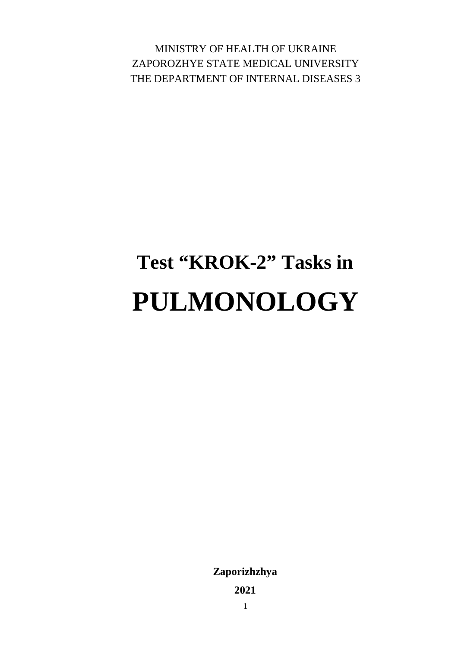MINISTRY OF HEALTH OF UKRAINE ZAPOROZHYE STATE MEDICAL UNIVERSITY THE DEPARTMENT OF INTERNAL DISEASES 3

# **Test "KROK-2" Tasks in PULMONOLOGY**

**Zaporizhzhya**

**2021**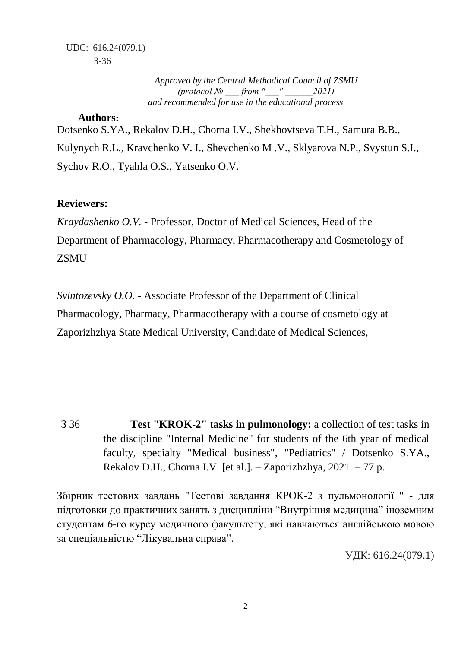*Approved by the Central Methodical Council of ZSMU (protocol № \_\_\_ from "\_\_\_" \_\_\_\_\_\_2021) and recommended for use in the educational process*

#### **Authors:**

Dotsenko S.YA., Rekalov D.H., Chorna I.V., Shekhovtseva T.H., Samura B.B., Kulynych R.L., Kravchenko V. I., Shevchenko M .V., Sklyarova N.P., Svystun S.I., Sychov R.O., Tyahla O.S., Yatsenko O.V.

### **Reviewers:**

*Kraydashenko O.V.* - Professor, Doctor of Medical Sciences, Head of the Department of Pharmacology, Pharmacy, Pharmacotherapy and Cosmetology of **ZSMU** 

*Svintozevsky O.O.* - Associate Professor of the Department of Clinical Pharmacology, Pharmacy, Pharmacotherapy with a course of cosmetology at Zaporizhzhya State Medical University, Candidate of Medical Sciences,

З 36 **Test "KROK-2" tasks in pulmonology:** a collection of test tasks in the discipline "Internal Medicine" for students of the 6th year of medical faculty, specialty "Medical business", "Pediatrics" / Dotsenko S.YA., Rekalov D.H., Chorna I.V. [et al.]. – Zaporizhzhya, 2021. – 77 p.

Збірник тестових завдань "Тестові завдання КРОК-2 з пульмонології " - для підготовки до практичних занять з дисципліни "Внутрішня медицина" іноземним студентам 6-го курсу медичного факультету, які навчаються англійською мовою за спеціальністю "Лікувальна справа".

УДК: 616.24(079.1)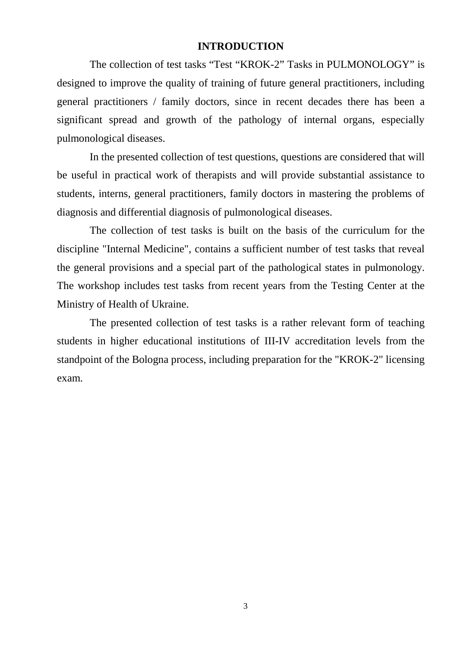#### **INTRODUCTION**

The collection of test tasks "Test "KROK-2" Tasks in PULMONOLOGY" is designed to improve the quality of training of future general practitioners, including general practitioners / family doctors, since in recent decades there has been a significant spread and growth of the pathology of internal organs, especially pulmonological diseases.

In the presented collection of test questions, questions are considered that will be useful in practical work of therapists and will provide substantial assistance to students, interns, general practitioners, family doctors in mastering the problems of diagnosis and differential diagnosis of pulmonological diseases.

The collection of test tasks is built on the basis of the curriculum for the discipline "Internal Medicine", contains a sufficient number of test tasks that reveal the general provisions and a special part of the pathological states in pulmonology. The workshop includes test tasks from recent years from the Testing Center at the Ministry of Health of Ukraine.

The presented collection of test tasks is a rather relevant form of teaching students in higher educational institutions of III-IV accreditation levels from the standpoint of the Bologna process, including preparation for the "KROK-2" licensing exam.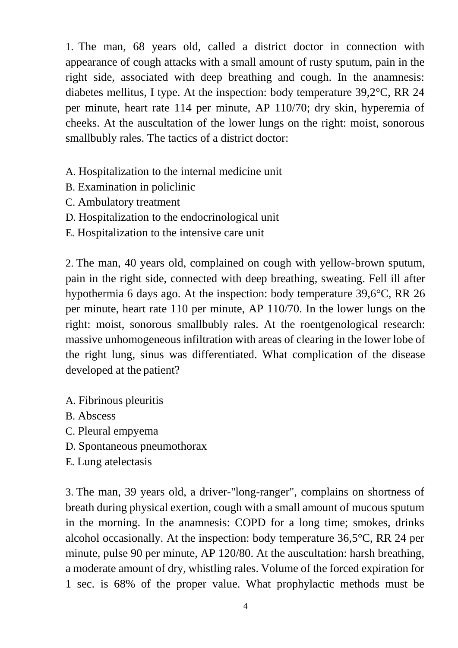1. The man, 68 years old, called a district doctor in connection with appearance of cough attacks with a small amount of rusty sputum, pain in the right side, associated with deep breathing and cough. In the anamnesis: diabetes mellitus, I type. At the inspection: body temperature 39,2°C, RR 24 per minute, heart rate 114 per minute, AP 110/70; dry skin, hyperemia of cheeks. At the auscultation of the lower lungs on the right: moist, sonorous smallbubly rales. The tactics of a district doctor:

- A. Hospitalization to the internal medicine unit
- B. Examination in policlinic
- C. Ambulatory treatment
- D. Hospitalization to the endocrinological unit
- E. Hospitalization to the intensive care unit

2. The man, 40 years old, complained on cough with yellow-brown sputum, pain in the right side, connected with deep breathing, sweating. Fell ill after hypothermia 6 days ago. At the inspection: body temperature 39,6°C, RR 26 per minute, heart rate 110 per minute, AP 110/70. In the lower lungs on the right: moist, sonorous smallbubly rales. At the roentgenological research: massive unhomogeneous infiltration with areas of clearing in the lower lobe of the right lung, sinus was differentiated. What complication of the disease developed at the patient?

- A. Fibrinous pleuritis
- B. Abscess
- C. Pleural empyema
- D. Spontaneous pneumothorax
- E. Lung atelectasis

3. The man, 39 years old, a driver-"long-ranger", complains on shortness of breath during physical exertion, cough with a small amount of mucous sputum in the morning. In the anamnesis: COPD for a long time; smokes, drinks alcohol occasionally. At the inspection: body temperature 36,5°C, RR 24 per minute, pulse 90 per minute, AP 120/80. At the auscultation: harsh breathing, a moderate amount of dry, whistling rales. Volume of the forced expiration for 1 sec. is 68% of the proper value. What prophylactic methods must be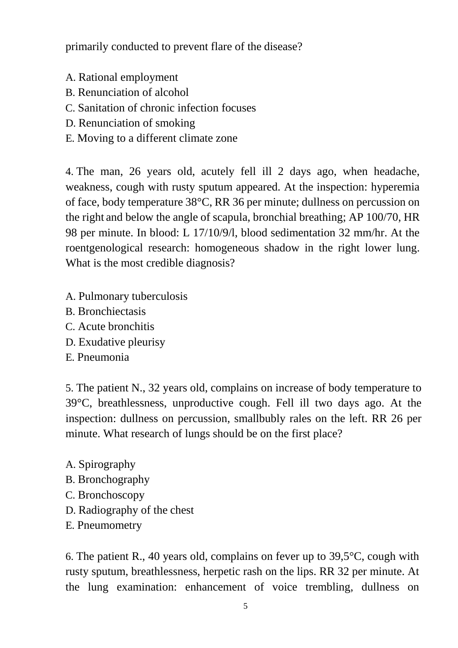primarily conducted to prevent flare of the disease?

- A. Rational employment
- B. Renunciation of alcohol
- C. Sanitation of chronic infection focuses
- D. Renunciation of smoking
- E. Moving to a different climate zone

4. The man, 26 years old, acutely fell ill 2 days ago, when headache, weakness, cough with rusty sputum appeared. At the inspection: hyperemia of face, body temperature 38°C, RR 36 per minute; dullness on percussion on the right and below the angle of scapula, bronchial breathing; AP 100/70, HR 98 per minute. In blood: L 17/10/9/l, blood sedimentation 32 mm/hr. At the roentgenological research: homogeneous shadow in the right lower lung. What is the most credible diagnosis?

- A. Pulmonary tuberculosis
- B. Bronchiectasis
- C. Acute bronchitis
- D. Exudative pleurisy
- E. Pneumonia

5. The patient N., 32 years old, complains on increase of body temperature to 39°C, breathlessness, unproductive cough. Fell ill two days ago. At the inspection: dullness on percussion, smallbubly rales on the left. RR 26 per minute. What research of lungs should be on the first place?

- A. Spirography
- B. Bronchography
- C. Bronchoscopy
- D. Radiography of the chest
- E. Pneumometry

6. The patient R., 40 years old, complains on fever up to 39,5°C, cough with rusty sputum, breathlessness, herpetic rash on the lips. RR 32 per minute. At the lung examination: enhancement of voice trembling, dullness on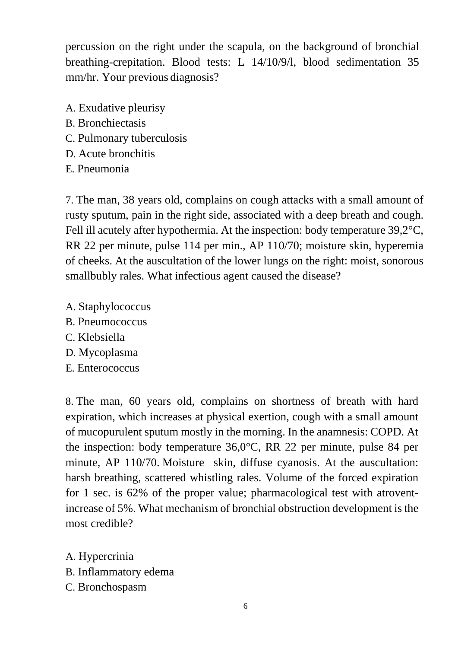percussion on the right under the scapula, on the background of bronchial breathing-crepitation. Blood tests: L 14/10/9/l, blood sedimentation 35 mm/hr. Your previous diagnosis?

- A. Exudative pleurisy
- B. Bronchiectasis
- C. Pulmonary tuberculosis
- D. Acute bronchitis
- E. Pneumonia

7. The man, 38 years old, complains on cough attacks with a small amount of rusty sputum, pain in the right side, associated with a deep breath and cough. Fell ill acutely after hypothermia. At the inspection: body temperature 39,2°C, RR 22 per minute, pulse 114 per min., AP 110/70; moisture skin, hyperemia of cheeks. At the auscultation of the lower lungs on the right: moist, sonorous smallbubly rales. What infectious agent caused the disease?

- A. Staphylococcus
- B. Pneumococcus
- C. Klebsiella
- D. Mycoplasma
- E. Enterococcus

8. The man, 60 years old, complains on shortness of breath with hard expiration, which increases at physical exertion, cough with a small amount of mucopurulent sputum mostly in the morning. In the anamnesis: COPD. At the inspection: body temperature 36,0°C, RR 22 per minute, pulse 84 per minute, AP 110/70. Moisture skin, diffuse cyanosis. At the auscultation: harsh breathing, scattered whistling rales. Volume of the forced expiration for 1 sec. is 62% of the proper value; pharmacological test with atroventincrease of 5%. What mechanism of bronchial obstruction development is the most credible?

A. Hypercrinia B. Inflammatory edema C. Bronchospasm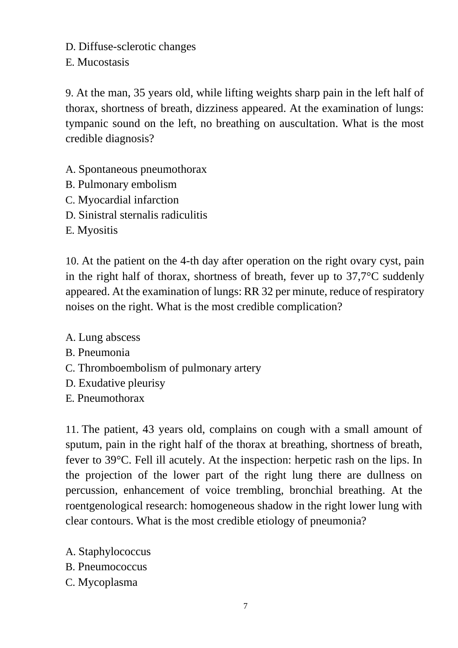D. Diffuse-sclerotic changes

E. Mucostasis

9. At the man, 35 years old, while lifting weights sharp pain in the left half of thorax, shortness of breath, dizziness appeared. At the examination of lungs: tympanic sound on the left, no breathing on auscultation. What is the most credible diagnosis?

- A. Spontaneous pneumothorax
- B. Pulmonary embolism
- C. Myocardial infarction
- D. Sinistral sternalis radiculitis
- E. Myositis

10. At the patient on the 4-th day after operation on the right ovary cyst, pain in the right half of thorax, shortness of breath, fever up to 37,7°C suddenly appeared. At the examination of lungs: RR 32 per minute, reduce of respiratory noises on the right. What is the most credible complication?

A. Lung abscess

- B. Pneumonia
- C. Thromboembolism of pulmonary artery
- D. Exudative pleurisy
- E. Pneumothorax

11. The patient, 43 years old, complains on cough with a small amount of sputum, pain in the right half of the thorax at breathing, shortness of breath, fever to 39°C. Fell ill acutely. At the inspection: herpetic rash on the lips. In the projection of the lower part of the right lung there are dullness on percussion, enhancement of voice trembling, bronchial breathing. At the roentgenological research: homogeneous shadow in the right lower lung with clear contours. What is the most credible etiology of pneumonia?

- A. Staphylococcus
- B. Pneumococcus
- C. Mycoplasma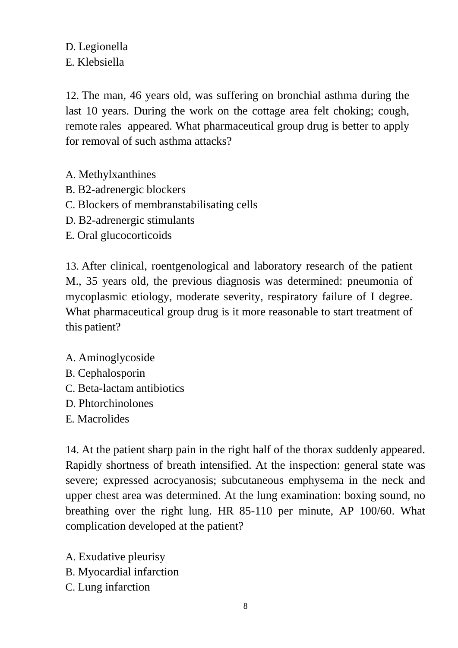D. Legionella E. Klebsiella

12. The man, 46 years old, was suffering on bronchial asthma during the last 10 years. During the work on the cottage area felt choking; cough, remote rales appeared. What pharmaceutical group drug is better to apply for removal of such asthma attacks?

- A. Methylxanthines
- B. B2-adrenergic blockers
- C. Blockers of membranstabilisating cells
- D. B2-adrenergic stimulants
- E. Oral glucocorticoids

13. After clinical, roentgenological and laboratory research of the patient M., 35 years old, the previous diagnosis was determined: pneumonia of mycoplasmic etiology, moderate severity, respiratory failure of I degree. What pharmaceutical group drug is it more reasonable to start treatment of this patient?

- A. Aminoglycoside
- B. Cephalosporin
- C. Beta-lactam antibiotics
- D. Phtorchinolones
- E. Macrolides

14. At the patient sharp pain in the right half of the thorax suddenly appeared. Rapidly shortness of breath intensified. At the inspection: general state was severe; expressed acrocyanosis; subcutaneous emphysema in the neck and upper chest area was determined. At the lung examination: boxing sound, no breathing over the right lung. HR 85-110 per minute, AP 100/60. What complication developed at the patient?

A. Exudative pleurisy B. Myocardial infarction

C. Lung infarction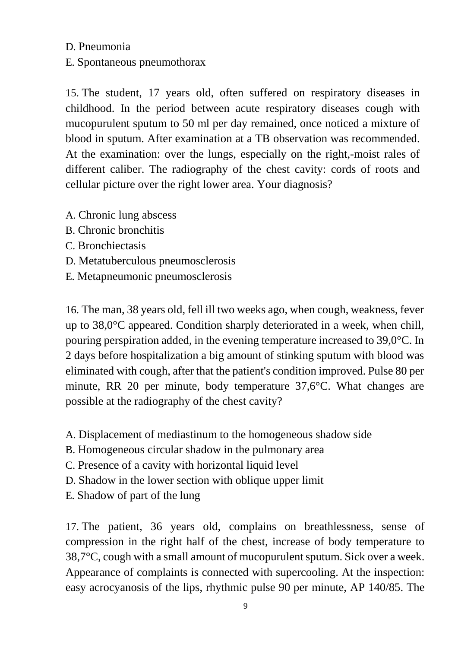## D. Pneumonia

E. Spontaneous pneumothorax

15. The student, 17 years old, often suffered on respiratory diseases in childhood. In the period between acute respiratory diseases cough with mucopurulent sputum to 50 ml per day remained, once noticed a mixture of blood in sputum. After examination at a TB observation was recommended. At the examination: over the lungs, especially on the right,-moist rales of different caliber. The radiography of the chest cavity: cords of roots and cellular picture over the right lower area. Your diagnosis?

- A. Chronic lung abscess
- B. Chronic bronchitis
- C. Bronchiectasis
- D. Metatuberculous pneumosclerosis
- E. Metapneumonic pneumosclerosis

16. The man, 38 years old, fell ill two weeks ago, when cough, weakness, fever up to 38,0°C appeared. Condition sharply deteriorated in a week, when chill, pouring perspiration added, in the evening temperature increased to 39,0°C. In 2 days before hospitalization a big amount of stinking sputum with blood was eliminated with cough, after that the patient's condition improved. Pulse 80 per minute, RR 20 per minute, body temperature 37,6°C. What changes are possible at the radiography of the chest cavity?

- A. Displacement of mediastinum to the homogeneous shadow side
- B. Homogeneous circular shadow in the pulmonary area
- C. Presence of a cavity with horizontal liquid level
- D. Shadow in the lower section with oblique upper limit
- E. Shadow of part of the lung

17. The patient, 36 years old, complains on breathlessness, sense of compression in the right half of the chest, increase of body temperature to 38,7°C, cough with a small amount of mucopurulent sputum. Sick over a week. Appearance of complaints is connected with supercooling. At the inspection: easy acrocyanosis of the lips, rhythmic pulse 90 per minute, AP 140/85. The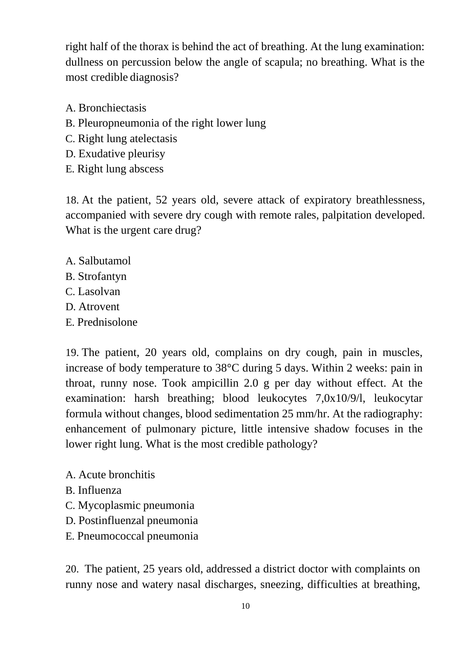right half of the thorax is behind the act of breathing. At the lung examination: dullness on percussion below the angle of scapula; no breathing. What is the most credible diagnosis?

- A. Bronchiectasis
- B. Pleuropneumonia of the right lower lung
- C. Right lung atelectasis
- D. Exudative pleurisy
- E. Right lung abscess

18. At the patient, 52 years old, severe attack of expiratory breathlessness, accompanied with severe dry cough with remote rales, palpitation developed. What is the urgent care drug?

- A. Salbutamol
- B. Strofantyn
- C. Lasolvan
- D. Atrovent
- E. Prednisolone

19. The patient, 20 years old, complains on dry cough, pain in muscles, increase of body temperature to 38°C during 5 days. Within 2 weeks: pain in throat, runny nose. Took ampicillin 2.0 g per day without effect. At the examination: harsh breathing; blood leukocytes 7,0x10/9/l, leukocytar formula without changes, blood sedimentation 25 mm/hr. At the radiography: enhancement of pulmonary picture, little intensive shadow focuses in the lower right lung. What is the most credible pathology?

- A. Acute bronchitis
- B. Influenza
- C. Mycoplasmic pneumonia
- D. Postinfluenzal pneumonia
- E. Pneumococcal pneumonia

20. The patient, 25 years old, addressed a district doctor with complaints on runny nose and watery nasal discharges, sneezing, difficulties at breathing,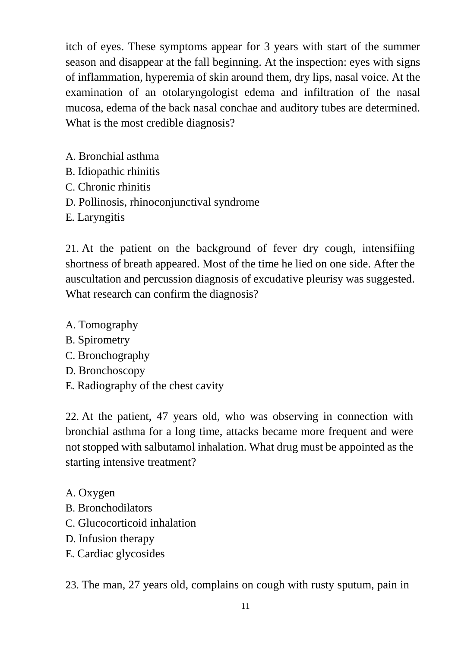itch of eyes. These symptoms appear for 3 years with start of the summer season and disappear at the fall beginning. At the inspection: eyes with signs of inflammation, hyperemia of skin around them, dry lips, nasal voice. At the examination of an otolaryngologist edema and infiltration of the nasal mucosa, edema of the back nasal conchae and auditory tubes are determined. What is the most credible diagnosis?

- A. Bronchial asthma
- B. Idiopathic rhinitis
- C. Chronic rhinitis
- D. Pollinosis, rhinoconjunctival syndrome
- E. Laryngitis

21. At the patient on the background of fever dry cough, intensifiing shortness of breath appeared. Most of the time he lied on one side. After the auscultation and percussion diagnosis of excudative pleurisy was suggested. What research can confirm the diagnosis?

- A. Tomography
- B. Spirometry
- C. Bronchography
- D. Bronchoscopy
- E. Radiography of the chest cavity

22. At the patient, 47 years old, who was observing in connection with bronchial asthma for a long time, attacks became more frequent and were not stopped with salbutamol inhalation. What drug must be appointed as the starting intensive treatment?

- A. Oxygen
- B. Bronchodilators
- C. Glucocorticoid inhalation
- D. Infusion therapy
- E. Cardiac glycosides

23. The man, 27 years old, complains on cough with rusty sputum, pain in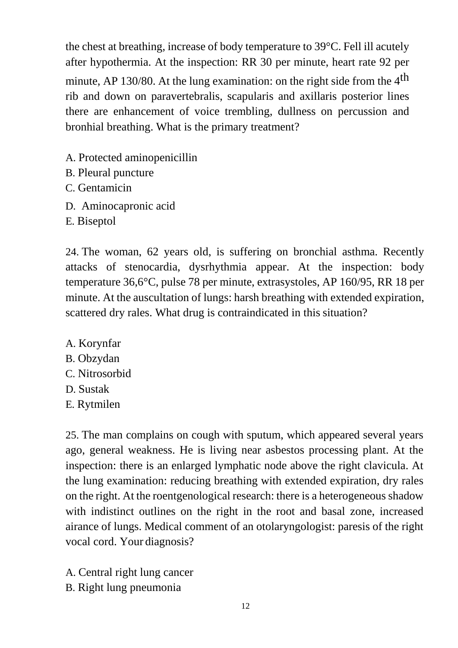the chest at breathing, increase of body temperature to 39°C. Fell ill acutely after hypothermia. At the inspection: RR 30 per minute, heart rate 92 per minute, AP 130/80. At the lung examination: on the right side from the  $4<sup>th</sup>$ rib and down on paravertebralis, scapularis and axillaris posterior lines there are enhancement of voice trembling, dullness on percussion and bronhial breathing. What is the primary treatment?

- A. Protected aminopenicillin
- B. Pleural puncture
- C. Gentamicin
- D. Aminocapronic acid
- E. Biseptol

24. The woman, 62 years old, is suffering on bronchial asthma. Recently attacks of stenocardia, dysrhythmia appear. At the inspection: body temperature 36,6°C, pulse 78 per minute, extrasystoles, AP 160/95, RR 18 per minute. At the auscultation of lungs: harsh breathing with extended expiration, scattered dry rales. What drug is contraindicated in this situation?

- A. Korynfar
- B. Obzydan
- C. Nitrosorbid
- D. Sustak
- E. Rytmilen

25. The man complains on cough with sputum, which appeared several years ago, general weakness. He is living near asbestos processing plant. At the inspection: there is an enlarged lymphatic node above the right clavicula. At the lung examination: reducing breathing with extended expiration, dry rales on the right. At the roentgenological research: there is a heterogeneous shadow with indistinct outlines on the right in the root and basal zone, increased airance of lungs. Medical comment of an otolaryngologist: paresis of the right vocal cord. Your diagnosis?

- A. Central right lung cancer
- B. Right lung pneumonia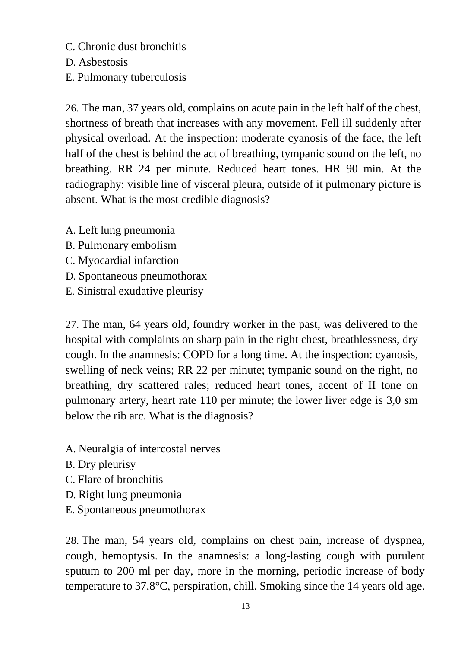C. Chronic dust bronchitis

D. Asbestosis

E. Pulmonary tuberculosis

26. The man, 37 years old, complains on acute pain in the left half of the chest, shortness of breath that increases with any movement. Fell ill suddenly after physical overload. At the inspection: moderate cyanosis of the face, the left half of the chest is behind the act of breathing, tympanic sound on the left, no breathing. RR 24 per minute. Reduced heart tones. HR 90 min. At the radiography: visible line of visceral pleura, outside of it pulmonary picture is absent. What is the most credible diagnosis?

- A. Left lung pneumonia
- B. Pulmonary embolism
- C. Myocardial infarction
- D. Spontaneous pneumothorax
- E. Sinistral exudative pleurisy

27. The man, 64 years old, foundry worker in the past, was delivered to the hospital with complaints on sharp pain in the right chest, breathlessness, dry cough. In the anamnesis: COPD for a long time. At the inspection: cyanosis, swelling of neck veins; RR 22 per minute; tympanic sound on the right, no breathing, dry scattered rales; reduced heart tones, accent of II tone on pulmonary artery, heart rate 110 per minute; the lower liver edge is 3,0 sm below the rib arc. What is the diagnosis?

- A. Neuralgia of intercostal nerves
- B. Dry pleurisy
- C. Flare of bronchitis
- D. Right lung pneumonia
- E. Spontaneous pneumothorax

28. The man, 54 years old, complains on chest pain, increase of dyspnea, cough, hemoptysis. In the anamnesis: a long-lasting cough with purulent sputum to 200 ml per day, more in the morning, periodic increase of body temperature to 37,8°C, perspiration, chill. Smoking since the 14 years old age.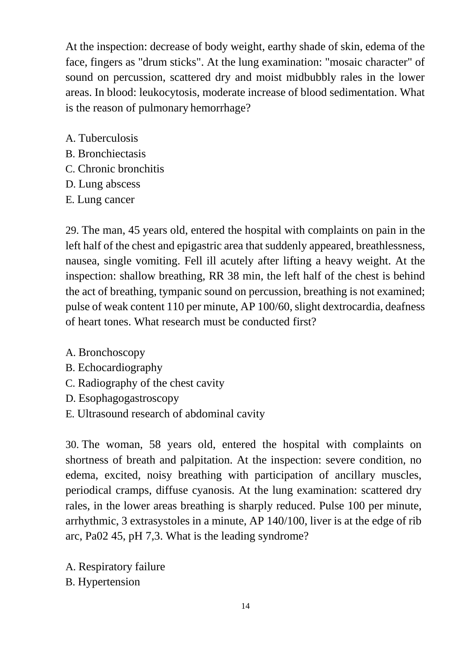At the inspection: decrease of body weight, earthy shade of skin, edema of the face, fingers as "drum sticks". At the lung examination: "mosaic character" of sound on percussion, scattered dry and moist midbubbly rales in the lower areas. In blood: leukocytosis, moderate increase of blood sedimentation. What is the reason of pulmonary hemorrhage?

- A. Tuberculosis
- B. Bronchiectasis
- C. Chronic bronchitis
- D. Lung abscess
- E. Lung cancer

29. The man, 45 years old, entered the hospital with complaints on pain in the left half of the chest and epigastric area that suddenly appeared, breathlessness, nausea, single vomiting. Fell ill acutely after lifting a heavy weight. At the inspection: shallow breathing, RR 38 min, the left half of the chest is behind the act of breathing, tympanic sound on percussion, breathing is not examined; pulse of weak content 110 per minute, AP 100/60, slight dextrocardia, deafness of heart tones. What research must be conducted first?

- A. Bronchoscopy
- B. Echocardiography
- C. Radiography of the chest cavity
- D. Esophagogastroscopy
- E. Ultrasound research of abdominal cavity

30. The woman, 58 years old, entered the hospital with complaints on shortness of breath and palpitation. At the inspection: severe condition, no edema, excited, noisy breathing with participation of ancillary muscles, periodical cramps, diffuse cyanosis. At the lung examination: scattered dry rales, in the lower areas breathing is sharply reduced. Pulse 100 per minute, arrhythmic, 3 extrasystoles in a minute, AP 140/100, liver is at the edge of rib arc, Pa02 45, pH 7,3. What is the leading syndrome?

A. Respiratory failure B. Hypertension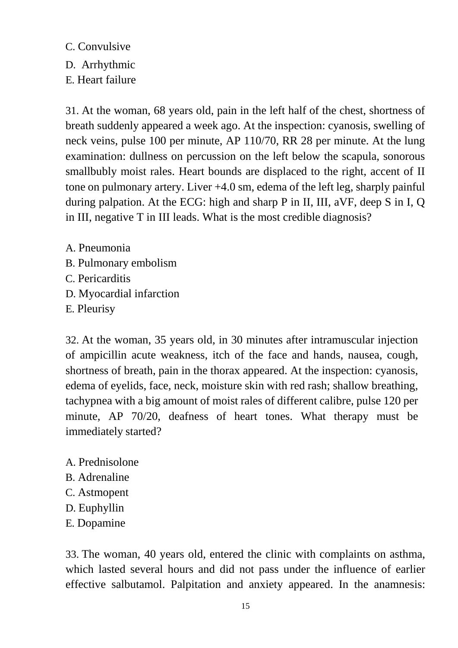C. Convulsive D. Arrhythmic E. Heart failure

31. At the woman, 68 years old, pain in the left half of the chest, shortness of breath suddenly appeared a week ago. At the inspection: cyanosis, swelling of neck veins, pulse 100 per minute, AP 110/70, RR 28 per minute. At the lung examination: dullness on percussion on the left below the scapula, sonorous smallbubly moist rales. Heart bounds are displaced to the right, accent of II tone on pulmonary artery. Liver +4.0 sm, edema of the left leg, sharply painful during palpation. At the ECG: high and sharp P in II, III, aVF, deep S in I, Q in III, negative T in III leads. What is the most credible diagnosis?

A. Pneumonia B. Pulmonary embolism C. Pericarditis D. Myocardial infarction E. Pleurisy

32. At the woman, 35 years old, in 30 minutes after intramuscular injection of ampicillin acute weakness, itch of the face and hands, nausea, cough, shortness of breath, pain in the thorax appeared. At the inspection: cyanosis, edema of eyelids, face, neck, moisture skin with red rash; shallow breathing, tachypnea with a big amount of moist rales of different calibre, pulse 120 per minute, AP 70/20, deafness of heart tones. What therapy must be immediately started?

A. Prednisolone B. Adrenaline C. Astmopent D. Euphyllin E. Dopamine

33. The woman, 40 years old, entered the clinic with complaints on asthma, which lasted several hours and did not pass under the influence of earlier effective salbutamol. Palpitation and anxiety appeared. In the anamnesis: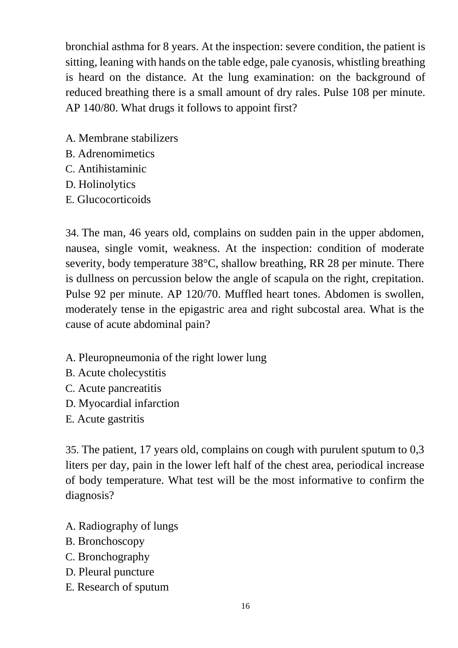bronchial asthma for 8 years. At the inspection: severe condition, the patient is sitting, leaning with hands on the table edge, pale cyanosis, whistling breathing is heard on the distance. At the lung examination: on the background of reduced breathing there is a small amount of dry rales. Pulse 108 per minute. AP 140/80. What drugs it follows to appoint first?

- A. Membrane stabilizers
- B. Adrenomimetics
- C. Antihistaminic
- D. Holinolytics
- E. Glucocorticoids

34. The man, 46 years old, complains on sudden pain in the upper abdomen, nausea, single vomit, weakness. At the inspection: condition of moderate severity, body temperature 38°C, shallow breathing, RR 28 per minute. There is dullness on percussion below the angle of scapula on the right, crepitation. Pulse 92 per minute. AP 120/70. Muffled heart tones. Abdomen is swollen, moderately tense in the epigastric area and right subcostal area. What is the cause of acute abdominal pain?

- A. Pleuropneumonia of the right lower lung
- B. Acute cholecystitis
- C. Acute pancreatitis
- D. Myocardial infarction
- E. Acute gastritis

35. The patient, 17 years old, complains on cough with purulent sputum to 0,3 liters per day, pain in the lower left half of the chest area, periodical increase of body temperature. What test will be the most informative to confirm the diagnosis?

- A. Radiography of lungs
- B. Bronchoscopy
- C. Bronchography
- D. Pleural puncture
- E. Research of sputum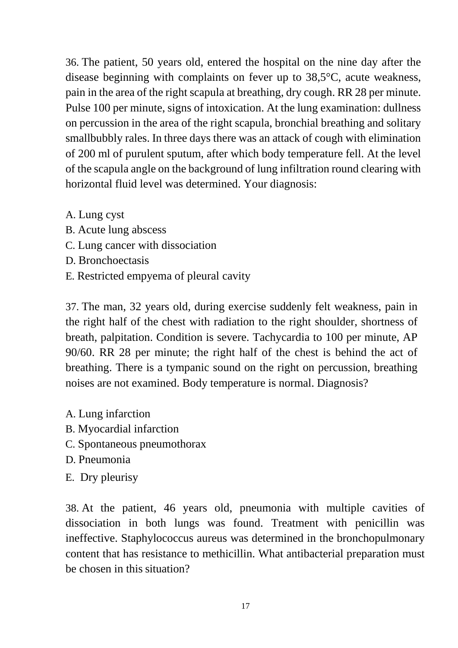36. The patient, 50 years old, entered the hospital on the nine day after the disease beginning with complaints on fever up to 38,5°C, acute weakness, pain in the area of the right scapula at breathing, dry cough. RR 28 per minute. Pulse 100 per minute, signs of intoxication. At the lung examination: dullness on percussion in the area of the right scapula, bronchial breathing and solitary smallbubbly rales. In three days there was an attack of cough with elimination of 200 ml of purulent sputum, after which body temperature fell. At the level of the scapula angle on the background of lung infiltration round clearing with horizontal fluid level was determined. Your diagnosis:

- A. Lung cyst
- B. Acute lung abscess
- C. Lung cancer with dissociation
- D. Bronchoectasis
- E. Restricted empyema of pleural cavity

37. The man, 32 years old, during exercise suddenly felt weakness, pain in the right half of the chest with radiation to the right shoulder, shortness of breath, palpitation. Condition is severe. Tachycardia to 100 per minute, AP 90/60. RR 28 per minute; the right half of the chest is behind the act of breathing. There is a tympanic sound on the right on percussion, breathing noises are not examined. Body temperature is normal. Diagnosis?

- A. Lung infarction
- B. Myocardial infarction
- C. Spontaneous pneumothorax
- D. Pneumonia
- E. Dry pleurisy

38. At the patient, 46 years old, pneumonia with multiple cavities of dissociation in both lungs was found. Treatment with penicillin was ineffective. Staphylococcus aureus was determined in the bronchopulmonary content that has resistance to methicillin. What antibacterial preparation must be chosen in this situation?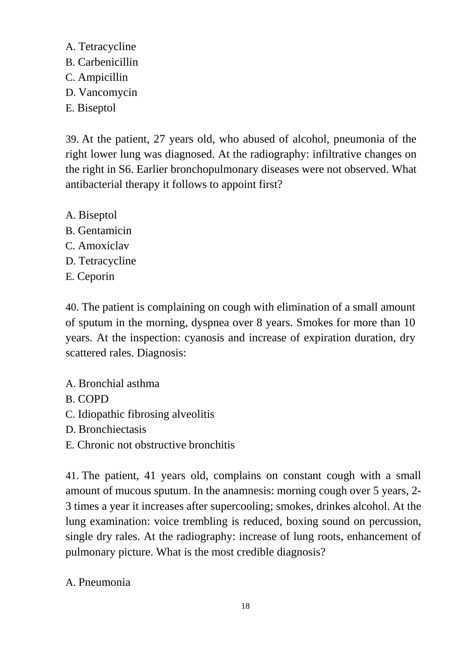A. Tetracycline B. Carbenicillin C. Ampicillin D. Vancomycin E. Biseptol

39. At the patient, 27 years old, who abused of alcohol, pneumonia of the right lower lung was diagnosed. At the radiography: infiltrative changes on the right in S6. Earlier bronchopulmonary diseases were not observed. What antibacterial therapy it follows to appoint first?

- A. Biseptol B. Gentamicin
- C. Amoxiclav
- D. Tetracycline
- E. Ceporin

40. The patient is complaining on cough with elimination of a small amount of sputum in the morning, dyspnea over 8 years. Smokes for more than 10 years. At the inspection: cyanosis and increase of expiration duration, dry scattered rales. Diagnosis:

- A. Bronchial asthma
- B. COPD
- C. Idiopathic fibrosing alveolitis
- D. Bronchiectasis
- E. Chronic not obstructive bronchitis

41. The patient, 41 years old, complains on constant cough with a small amount of mucous sputum. In the anamnesis: morning cough over 5 years, 2- 3 times a year it increases after supercooling; smokes, drinkes alcohol. At the lung examination: voice trembling is reduced, boxing sound on percussion, single dry rales. At the radiography: increase of lung roots, enhancement of pulmonary picture. What is the most credible diagnosis?

A. Pneumonia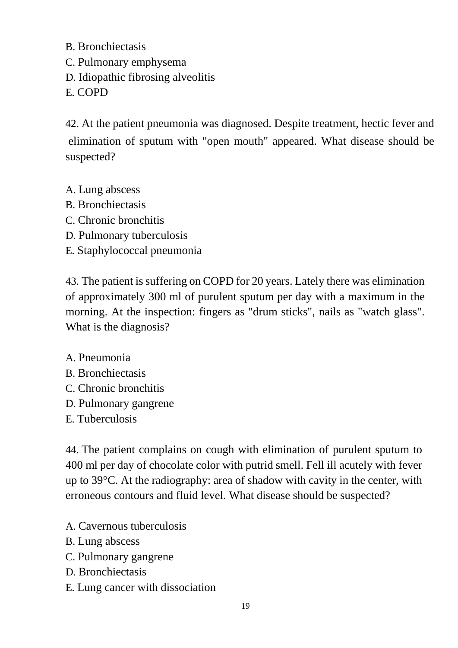B. Bronchiectasis

- C. Pulmonary emphysema
- D. Idiopathic fibrosing alveolitis

E. COPD

42. At the patient pneumonia was diagnosed. Despite treatment, hectic fever and elimination of sputum with "open mouth" appeared. What disease should be suspected?

- A. Lung abscess
- B. Bronchiectasis
- C. Chronic bronchitis
- D. Pulmonary tuberculosis
- E. Staphylococcal pneumonia

43. The patient is suffering on COPD for 20 years. Lately there was elimination of approximately 300 ml of purulent sputum per day with a maximum in the morning. At the inspection: fingers as "drum sticks", nails as "watch glass". What is the diagnosis?

- A. Pneumonia
- B. Bronchiectasis
- C. Chronic bronchitis
- D. Pulmonary gangrene
- E. Tuberculosis

44. The patient complains on cough with elimination of purulent sputum to 400 ml per day of chocolate color with putrid smell. Fell ill acutely with fever up to 39°C. At the radiography: area of shadow with cavity in the center, with erroneous contours and fluid level. What disease should be suspected?

- A. Cavernous tuberculosis
- B. Lung abscess
- C. Pulmonary gangrene
- D. Bronchiectasis
- E. Lung cancer with dissociation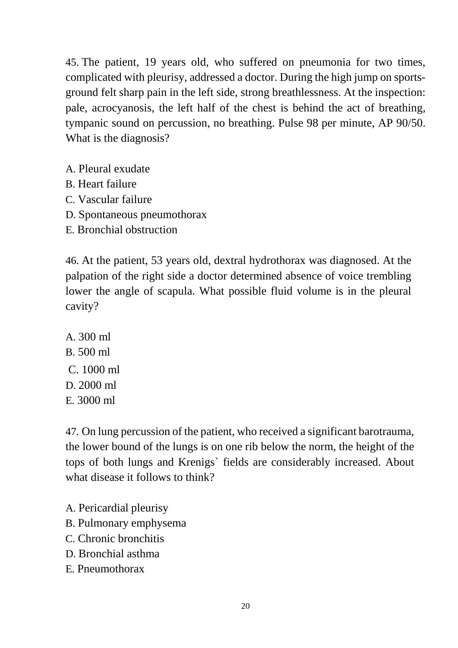45. The patient, 19 years old, who suffered on pneumonia for two times, complicated with pleurisy, addressed a doctor. During the high jump on sportsground felt sharp pain in the left side, strong breathlessness. At the inspection: pale, acrocyanosis, the left half of the chest is behind the act of breathing, tympanic sound on percussion, no breathing. Pulse 98 per minute, AP 90/50. What is the diagnosis?

- A. Pleural exudate
- B. Heart failure
- C. Vascular failure
- D. Spontaneous pneumothorax
- E. Bronchial obstruction

46. At the patient, 53 years old, dextral hydrothorax was diagnosed. At the palpation of the right side a doctor determined absence of voice trembling lower the angle of scapula. What possible fluid volume is in the pleural cavity?

A. 300 ml B. 500 ml C. 1000 ml D. 2000 ml E. 3000 ml

47. On lung percussion of the patient, who received a significant barotrauma, the lower bound of the lungs is on one rib below the norm, the height of the tops of both lungs and Krenigs` fields are considerably increased. About what disease it follows to think?

- A. Pericardial pleurisy
- B. Pulmonary emphysema
- C. Chronic bronchitis
- D. Bronchial asthma
- E. Pneumothorax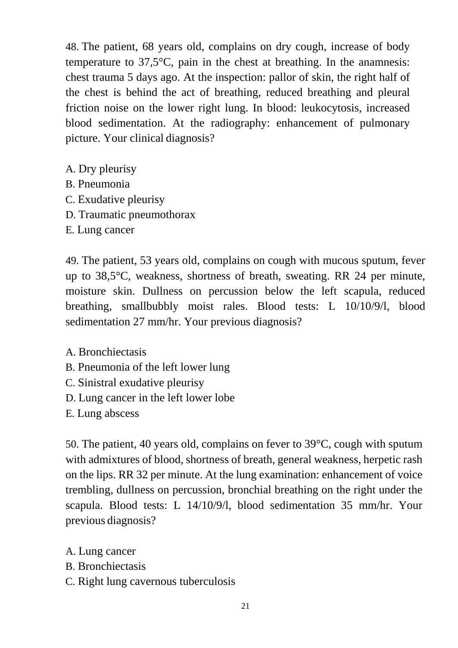48. The patient, 68 years old, complains on dry cough, increase of body temperature to 37,5°C, pain in the chest at breathing. In the anamnesis: chest trauma 5 days ago. At the inspection: pallor of skin, the right half of the chest is behind the act of breathing, reduced breathing and pleural friction noise on the lower right lung. In blood: leukocytosis, increased blood sedimentation. At the radiography: enhancement of pulmonary picture. Your clinical diagnosis?

- A. Dry pleurisy
- B. Pneumonia
- C. Exudative pleurisy
- D. Traumatic pneumothorax
- E. Lung cancer

49. The patient, 53 years old, complains on cough with mucous sputum, fever up to 38,5°C, weakness, shortness of breath, sweating. RR 24 per minute, moisture skin. Dullness on percussion below the left scapula, reduced breathing, smallbubbly moist rales. Blood tests: L 10/10/9/l, blood sedimentation 27 mm/hr. Your previous diagnosis?

- A. Bronchiectasis
- B. Pneumonia of the left lower lung
- C. Sinistral exudative pleurisy
- D. Lung cancer in the left lower lobe
- E. Lung abscess

50. The patient, 40 years old, complains on fever to 39°C, cough with sputum with admixtures of blood, shortness of breath, general weakness, herpetic rash on the lips. RR 32 per minute. At the lung examination: enhancement of voice trembling, dullness on percussion, bronchial breathing on the right under the scapula. Blood tests: L 14/10/9/l, blood sedimentation 35 mm/hr. Your previous diagnosis?

- A. Lung cancer
- B. Bronchiectasis
- C. Right lung cavernous tuberculosis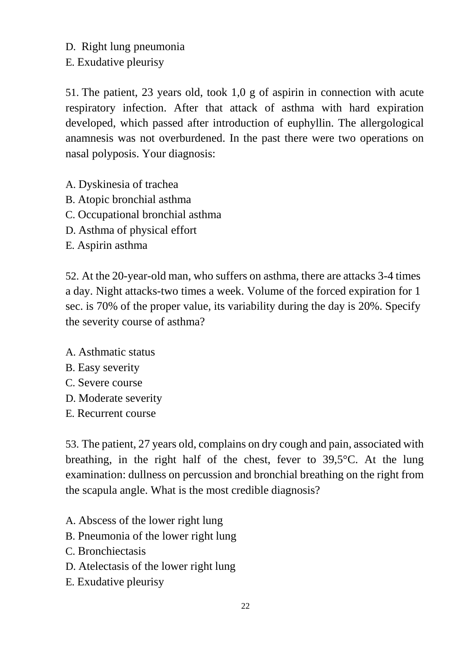D. Right lung pneumonia

E. Exudative pleurisy

51. The patient, 23 years old, took 1,0 g of aspirin in connection with acute respiratory infection. After that attack of asthma with hard expiration developed, which passed after introduction of euphyllin. The allergological anamnesis was not overburdened. In the past there were two operations on nasal polyposis. Your diagnosis:

- A. Dyskinesia of trachea
- B. Atopic bronchial asthma
- C. Occupational bronchial asthma
- D. Asthma of physical effort
- E. Aspirin asthma

52. At the 20-year-old man, who suffers on asthma, there are attacks 3-4 times a day. Night attacks-two times a week. Volume of the forced expiration for 1 sec. is 70% of the proper value, its variability during the day is 20%. Specify the severity course of asthma?

- A. Asthmatic status
- B. Easy severity
- C. Severe course
- D. Moderate severity
- E. Recurrent course

53. The patient, 27 years old, complains on dry cough and pain, associated with breathing, in the right half of the chest, fever to 39,5°C. At the lung examination: dullness on percussion and bronchial breathing on the right from the scapula angle. What is the most credible diagnosis?

- A. Abscess of the lower right lung
- B. Pneumonia of the lower right lung
- C. Bronchiectasis
- D. Atelectasis of the lower right lung
- E. Exudative pleurisy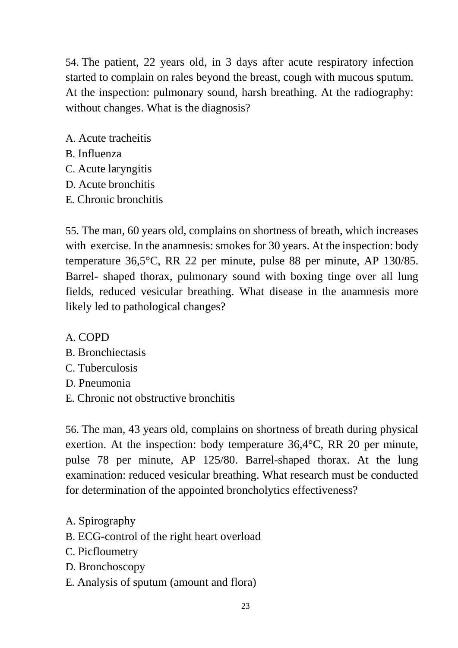54. The patient, 22 years old, in 3 days after acute respiratory infection started to complain on rales beyond the breast, cough with mucous sputum. At the inspection: pulmonary sound, harsh breathing. At the radiography: without changes. What is the diagnosis?

- A. Acute tracheitis
- B. Influenza
- C. Acute laryngitis
- D. Acute bronchitis
- E. Chronic bronchitis

55. The man, 60 years old, complains on shortness of breath, which increases with exercise. In the anamnesis: smokes for 30 years. At the inspection: body temperature 36,5°C, RR 22 per minute, pulse 88 per minute, AP 130/85. Barrel- shaped thorax, pulmonary sound with boxing tinge over all lung fields, reduced vesicular breathing. What disease in the anamnesis more likely led to pathological changes?

A. COPD

- B. Bronchiectasis
- C. Tuberculosis
- D. Pneumonia
- E. Chronic not obstructive bronchitis

56. The man, 43 years old, complains on shortness of breath during physical exertion. At the inspection: body temperature 36,4°C, RR 20 per minute, pulse 78 per minute, AP 125/80. Barrel-shaped thorax. At the lung examination: reduced vesicular breathing. What research must be conducted for determination of the appointed broncholytics effectiveness?

- A. Spirography
- B. ECG-control of the right heart overload
- C. Picfloumetry
- D. Bronchoscopy
- E. Analysis of sputum (amount and flora)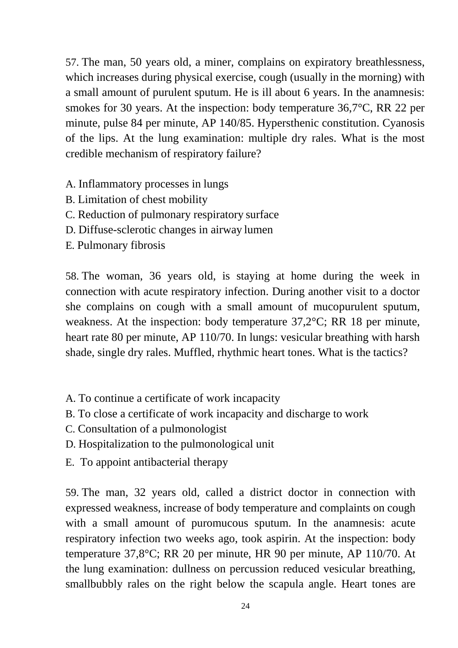57. The man, 50 years old, a miner, complains on expiratory breathlessness, which increases during physical exercise, cough (usually in the morning) with a small amount of purulent sputum. He is ill about 6 years. In the anamnesis: smokes for 30 years. At the inspection: body temperature 36,7°C, RR 22 per minute, pulse 84 per minute, AP 140/85. Hypersthenic constitution. Cyanosis of the lips. At the lung examination: multiple dry rales. What is the most credible mechanism of respiratory failure?

- A. Inflammatory processes in lungs
- B. Limitation of chest mobility
- C. Reduction of pulmonary respiratory surface
- D. Diffuse-sclerotic changes in airway lumen
- E. Pulmonary fibrosis

58. The woman, 36 years old, is staying at home during the week in connection with acute respiratory infection. During another visit to a doctor she complains on cough with a small amount of mucopurulent sputum, weakness. At the inspection: body temperature 37,2°C; RR 18 per minute, heart rate 80 per minute, AP 110/70. In lungs: vesicular breathing with harsh shade, single dry rales. Muffled, rhythmic heart tones. What is the tactics?

- A. To continue a certificate of work incapacity
- B. To close a certificate of work incapacity and discharge to work
- C. Consultation of a pulmonologist
- D. Hospitalization to the pulmonological unit
- E. To appoint antibacterial therapy

59. The man, 32 years old, called a district doctor in connection with expressed weakness, increase of body temperature and complaints on cough with a small amount of puromucous sputum. In the anamnesis: acute respiratory infection two weeks ago, took aspirin. At the inspection: body temperature 37,8°C; RR 20 per minute, HR 90 per minute, AP 110/70. At the lung examination: dullness on percussion reduced vesicular breathing, smallbubbly rales on the right below the scapula angle. Heart tones are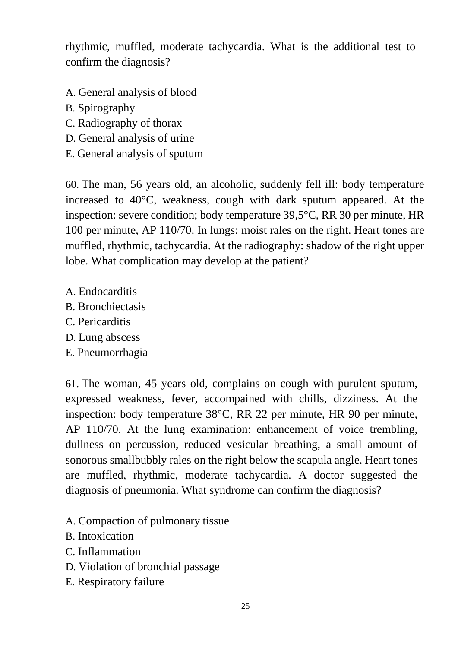rhythmic, muffled, moderate tachycardia. What is the additional test to confirm the diagnosis?

- A. General analysis of blood
- B. Spirography
- C. Radiography of thorax
- D. General analysis of urine
- E. General analysis of sputum

60. The man, 56 years old, an alcoholic, suddenly fell ill: body temperature increased to 40°C, weakness, cough with dark sputum appeared. At the inspection: severe condition; body temperature 39,5°C, RR 30 per minute, HR 100 per minute, AP 110/70. In lungs: moist rales on the right. Heart tones are muffled, rhythmic, tachycardia. At the radiography: shadow of the right upper lobe. What complication may develop at the patient?

- A. Endocarditis
- B. Bronchiectasis
- C. Pericarditis
- D. Lung abscess
- E. Pneumorrhagia

61. The woman, 45 years old, complains on cough with purulent sputum, expressed weakness, fever, accompained with chills, dizziness. At the inspection: body temperature 38°C, RR 22 per minute, HR 90 per minute, AP 110/70. At the lung examination: enhancement of voice trembling, dullness on percussion, reduced vesicular breathing, a small amount of sonorous smallbubbly rales on the right below the scapula angle. Heart tones are muffled, rhythmic, moderate tachycardia. A doctor suggested the diagnosis of pneumonia. What syndrome can confirm the diagnosis?

- A. Compaction of pulmonary tissue
- B. Intoxication
- C. Inflammation
- D. Violation of bronchial passage
- E. Respiratory failure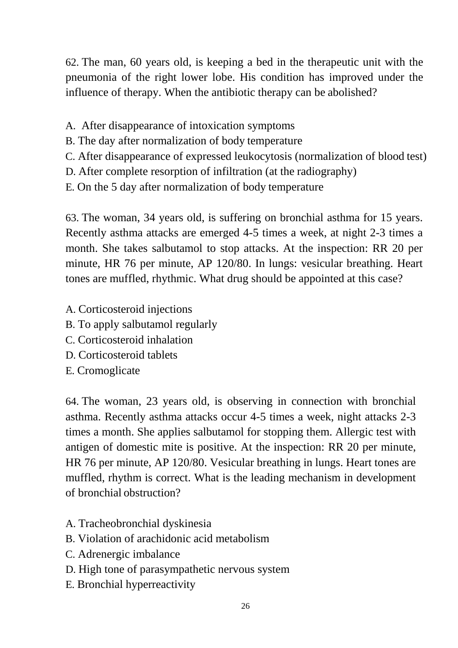62. The man, 60 years old, is keeping a bed in the therapeutic unit with the pneumonia of the right lower lobe. His condition has improved under the influence of therapy. When the antibiotic therapy can be abolished?

- A. After disappearance of intoxication symptoms
- B. The day after normalization of body temperature
- C. After disappearance of expressed leukocytosis (normalization of blood test)
- D. After complete resorption of infiltration (at the radiography)
- E. On the 5 day after normalization of body temperature

63. The woman, 34 years old, is suffering on bronchial asthma for 15 years. Recently asthma attacks are emerged 4-5 times a week, at night 2-3 times a month. She takes salbutamol to stop attacks. At the inspection: RR 20 per minute, HR 76 per minute, AP 120/80. In lungs: vesicular breathing. Heart tones are muffled, rhythmic. What drug should be appointed at this case?

- A. Corticosteroid injections
- B. To apply salbutamol regularly
- C. Corticosteroid inhalation
- D. Corticosteroid tablets
- E. Cromoglicate

64. The woman, 23 years old, is observing in connection with bronchial asthma. Recently asthma attacks occur 4-5 times a week, night attacks 2-3 times a month. She applies salbutamol for stopping them. Allergic test with antigen of domestic mite is positive. At the inspection: RR 20 per minute, HR 76 per minute, AP 120/80. Vesicular breathing in lungs. Heart tones are muffled, rhythm is correct. What is the leading mechanism in development of bronchial obstruction?

- A. Tracheobronchial dyskinesia
- B. Violation of arachidonic acid metabolism
- C. Adrenergic imbalance
- D. High tone of parasympathetic nervous system
- E. Bronchial hyperreactivity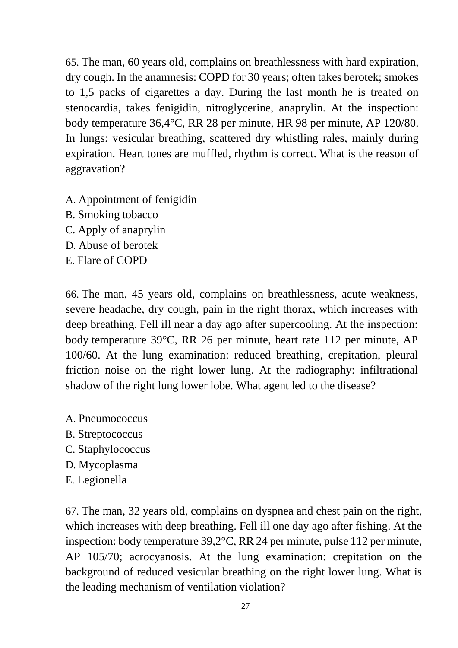65. The man, 60 years old, complains on breathlessness with hard expiration, dry cough. In the anamnesis: COPD for 30 years; often takes berotek; smokes to 1,5 packs of cigarettes a day. During the last month he is treated on stenocardia, takes fenigidin, nitroglycerine, anaprylin. At the inspection: body temperature 36,4°C, RR 28 per minute, HR 98 per minute, AP 120/80. In lungs: vesicular breathing, scattered dry whistling rales, mainly during expiration. Heart tones are muffled, rhythm is correct. What is the reason of aggravation?

- A. Appointment of fenigidin
- B. Smoking tobacco
- C. Apply of anaprylin
- D. Abuse of berotek
- E. Flare of COPD

66. The man, 45 years old, complains on breathlessness, acute weakness, severe headache, dry cough, pain in the right thorax, which increases with deep breathing. Fell ill near a day ago after supercooling. At the inspection: body temperature 39°C, RR 26 per minute, heart rate 112 per minute, AP 100/60. At the lung examination: reduced breathing, crepitation, pleural friction noise on the right lower lung. At the radiography: infiltrational shadow of the right lung lower lobe. What agent led to the disease?

- A. Pneumococcus
- B. Streptococcus
- C. Staphylococcus
- D. Mycoplasma
- E. Legionella

67. The man, 32 years old, complains on dyspnea and chest pain on the right, which increases with deep breathing. Fell ill one day ago after fishing. At the inspection: body temperature 39,2°C, RR 24 per minute, pulse 112 per minute, AP 105/70; acrocyanosis. At the lung examination: crepitation on the background of reduced vesicular breathing on the right lower lung. What is the leading mechanism of ventilation violation?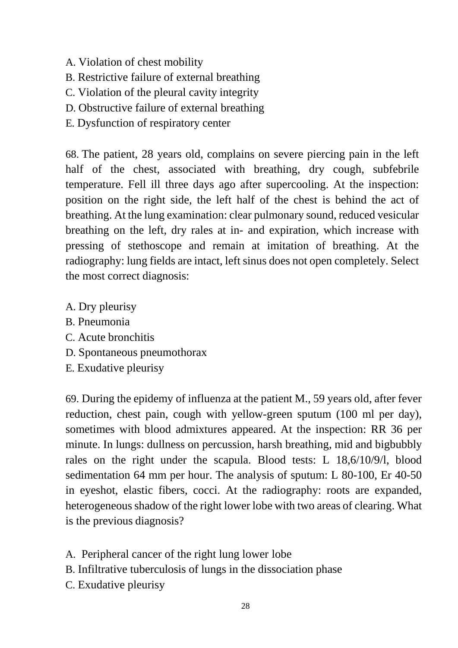- A. Violation of chest mobility
- B. Restrictive failure of external breathing
- C. Violation of the pleural cavity integrity
- D. Obstructive failure of external breathing
- E. Dysfunction of respiratory center

68. The patient, 28 years old, complains on severe piercing pain in the left half of the chest, associated with breathing, dry cough, subfebrile temperature. Fell ill three days ago after supercooling. At the inspection: position on the right side, the left half of the chest is behind the act of breathing. At the lung examination: clear pulmonary sound, reduced vesicular breathing on the left, dry rales at in- and expiration, which increase with pressing of stethoscope and remain at imitation of breathing. At the radiography: lung fields are intact, left sinus does not open completely. Select the most correct diagnosis:

- A. Dry pleurisy
- B. Pneumonia
- C. Acute bronchitis
- D. Spontaneous pneumothorax
- E. Exudative pleurisy

69. During the epidemy of influenza at the patient M., 59 years old, after fever reduction, chest pain, cough with yellow-green sputum (100 ml per day), sometimes with blood admixtures appeared. At the inspection: RR 36 per minute. In lungs: dullness on percussion, harsh breathing, mid and bigbubbly rales on the right under the scapula. Blood tests: L 18,6/10/9/l, blood sedimentation 64 mm per hour. The analysis of sputum: L 80-100, Er 40-50 in eyeshot, elastic fibers, cocci. At the radiography: roots are expanded, heterogeneous shadow of the right lower lobe with two areas of clearing. What is the previous diagnosis?

- A. Peripheral cancer of the right lung lower lobe
- B. Infiltrative tuberculosis of lungs in the dissociation phase
- C. Exudative pleurisy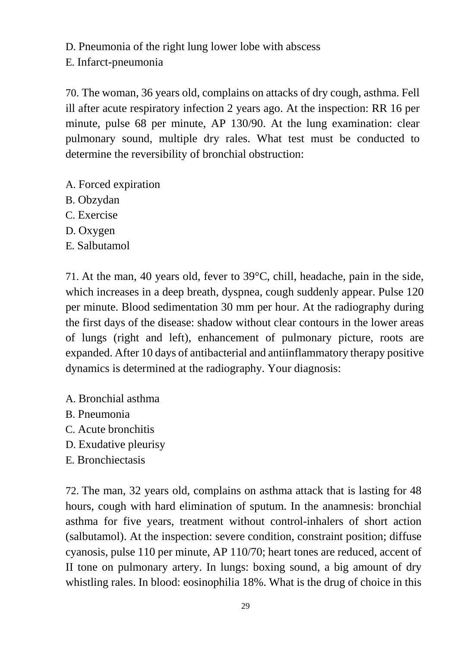D. Pneumonia of the right lung lower lobe with abscess

E. Infarct-pneumonia

70. The woman, 36 years old, complains on attacks of dry cough, asthma. Fell ill after acute respiratory infection 2 years ago. At the inspection: RR 16 per minute, pulse 68 per minute, AP 130/90. At the lung examination: clear pulmonary sound, multiple dry rales. What test must be conducted to determine the reversibility of bronchial obstruction:

- A. Forced expiration
- B. Obzydan
- C. Exercise
- D. Oxygen
- E. Salbutamol

71. At the man, 40 years old, fever to 39°C, chill, headache, pain in the side, which increases in a deep breath, dyspnea, cough suddenly appear. Pulse 120 per minute. Blood sedimentation 30 mm per hour. At the radiography during the first days of the disease: shadow without clear contours in the lower areas of lungs (right and left), enhancement of pulmonary picture, roots are expanded. After 10 days of antibacterial and antiinflammatory therapy positive dynamics is determined at the radiography. Your diagnosis:

- A. Bronchial asthma
- B. Pneumonia
- C. Acute bronchitis
- D. Exudative pleurisy
- E. Bronchiectasis

72. The man, 32 years old, complains on asthma attack that is lasting for 48 hours, cough with hard elimination of sputum. In the anamnesis: bronchial asthma for five years, treatment without control-inhalers of short action (salbutamol). At the inspection: severe condition, constraint position; diffuse cyanosis, pulse 110 per minute, AP 110/70; heart tones are reduced, accent of II tone on pulmonary artery. In lungs: boxing sound, a big amount of dry whistling rales. In blood: eosinophilia 18%. What is the drug of choice in this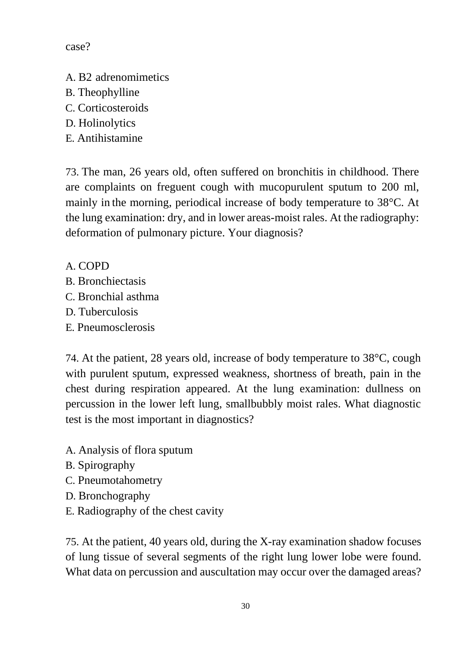case?

- A. B2 adrenomimetics
- B. Theophylline
- C. Corticosteroids
- D. Holinolytics
- E. Antihistamine

73. The man, 26 years old, often suffered on bronchitis in childhood. There are complaints on freguent cough with mucopurulent sputum to 200 ml, mainly in the morning, periodical increase of body temperature to 38°C. At the lung examination: dry, and in lower areas-moist rales. At the radiography: deformation of pulmonary picture. Your diagnosis?

A. COPD

- B. Bronchiectasis
- C. Bronchial asthma
- D. Tuberculosis
- E. Pneumosclerosis

74. At the patient, 28 years old, increase of body temperature to 38°C, cough with purulent sputum, expressed weakness, shortness of breath, pain in the chest during respiration appeared. At the lung examination: dullness on percussion in the lower left lung, smallbubbly moist rales. What diagnostic test is the most important in diagnostics?

- A. Analysis of flora sputum
- B. Spirography
- C. Pneumotahometry
- D. Bronchography
- E. Radiography of the chest cavity

75. At the patient, 40 years old, during the X-ray examination shadow focuses of lung tissue of several segments of the right lung lower lobe were found. What data on percussion and auscultation may occur over the damaged areas?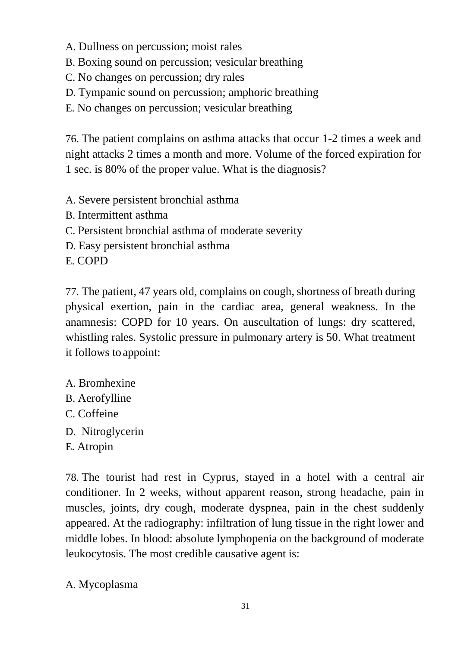- A. Dullness on percussion; moist rales
- B. Boxing sound on percussion; vesicular breathing
- C. No changes on percussion; dry rales
- D. Tympanic sound on percussion; amphoric breathing

E. No changes on percussion; vesicular breathing

76. The patient complains on asthma attacks that occur 1-2 times a week and night attacks 2 times a month and more. Volume of the forced expiration for 1 sec. is 80% of the proper value. What is the diagnosis?

- A. Severe persistent bronchial asthma
- B. Intermittent asthma
- C. Persistent bronchial asthma of moderate severity
- D. Easy persistent bronchial asthma

E. COPD

77. The patient, 47 years old, complains on cough, shortness of breath during physical exertion, pain in the cardiac area, general weakness. In the anamnesis: COPD for 10 years. On auscultation of lungs: dry scattered, whistling rales. Systolic pressure in pulmonary artery is 50. What treatment it follows to appoint:

- A. Bromhexine
- B. Aerofylline
- C. Coffeine
- D. Nitroglycerin
- E. Atropin

78. The tourist had rest in Cyprus, stayed in a hotel with a central air conditioner. In 2 weeks, without apparent reason, strong headache, pain in muscles, joints, dry cough, moderate dyspnea, pain in the chest suddenly appeared. At the radiography: infiltration of lung tissue in the right lower and middle lobes. In blood: absolute lymphopenia on the background of moderate leukocytosis. The most credible causative agent is:

A. Mycoplasma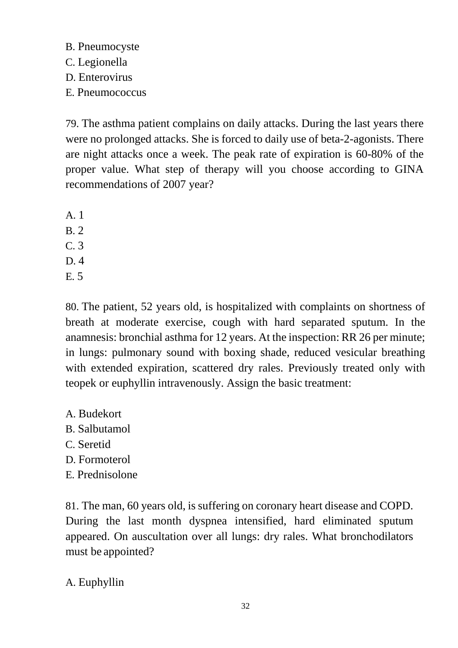B. Pneumocyste C. Legionella D. Enterovirus

E. Pneumococcus

79. The asthma patient complains on daily attacks. During the last years there were no prolonged attacks. She is forced to daily use of beta-2-agonists. There are night attacks once a week. The peak rate of expiration is 60-80% of the proper value. What step of therapy will you choose according to GINA recommendations of 2007 year?

A. 1 B. 2 C. 3 D. 4 E. 5

80. The patient, 52 years old, is hospitalized with complaints on shortness of breath at moderate exercise, cough with hard separated sputum. In the anamnesis: bronchial asthma for 12 years. At the inspection: RR 26 per minute; in lungs: pulmonary sound with boxing shade, reduced vesicular breathing with extended expiration, scattered dry rales. Previously treated only with teopek or euphyllin intravenously. Assign the basic treatment:

- A. Budekort B. Salbutamol C. Seretid D. Formoterol
- E. Prednisolone

81. The man, 60 years old, is suffering on coronary heart disease and COPD. During the last month dyspnea intensified, hard eliminated sputum appeared. On auscultation over all lungs: dry rales. What bronchodilators must be appointed?

A. Euphyllin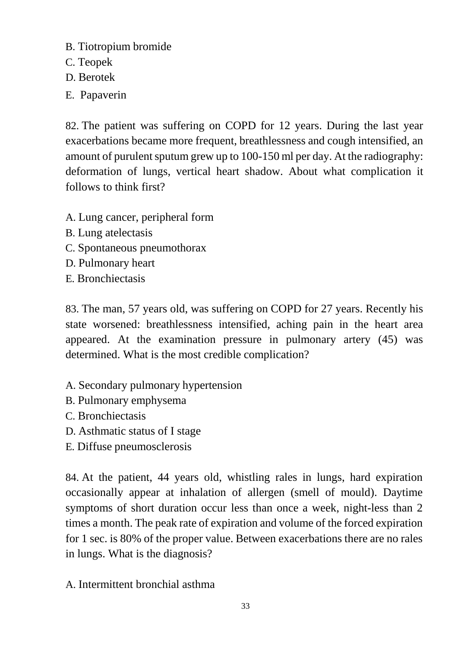- B. Tiotropium bromide
- C. Teopek
- D. Berotek
- E. Papaverin

82. The patient was suffering on COPD for 12 years. During the last year exacerbations became more frequent, breathlessness and cough intensified, an amount of purulent sputum grew up to 100-150 ml per day. At the radiography: deformation of lungs, vertical heart shadow. About what complication it follows to think first?

- A. Lung cancer, peripheral form
- B. Lung atelectasis
- C. Spontaneous pneumothorax
- D. Pulmonary heart
- E. Bronchiectasis

83. The man, 57 years old, was suffering on COPD for 27 years. Recently his state worsened: breathlessness intensified, aching pain in the heart area appeared. At the examination pressure in pulmonary artery (45) was determined. What is the most credible complication?

- A. Secondary pulmonary hypertension
- B. Pulmonary emphysema
- C. Bronchiectasis
- D. Asthmatic status of I stage
- E. Diffuse pneumosclerosis

84. At the patient, 44 years old, whistling rales in lungs, hard expiration occasionally appear at inhalation of allergen (smell of mould). Daytime symptoms of short duration occur less than once a week, night-less than 2 times a month. The peak rate of expiration and volume of the forced expiration for 1 sec. is 80% of the proper value. Between exacerbations there are no rales in lungs. What is the diagnosis?

A. Intermittent bronchial asthma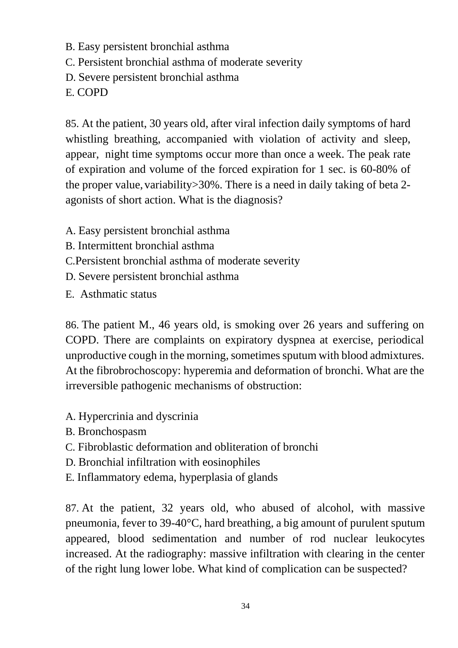- B. Easy persistent bronchial asthma
- C. Persistent bronchial asthma of moderate severity
- D. Severe persistent bronchial asthma

E. COPD

85. At the patient, 30 years old, after viral infection daily symptoms of hard whistling breathing, accompanied with violation of activity and sleep, appear, night time symptoms occur more than once a week. The peak rate of expiration and volume of the forced expiration for 1 sec. is 60-80% of the proper value, variability  $>30\%$ . There is a need in daily taking of beta 2agonists of short action. What is the diagnosis?

- A. Easy persistent bronchial asthma
- B. Intermittent bronchial asthma
- C.Persistent bronchial asthma of moderate severity
- D. Severe persistent bronchial asthma
- E. Asthmatic status

86. The patient M., 46 years old, is smoking over 26 years and suffering on COPD. There are complaints on expiratory dyspnea at exercise, periodical unproductive cough in the morning, sometimes sputum with blood admixtures. At the fibrobrochoscopy: hyperemia and deformation of bronchi. What are the irreversible pathogenic mechanisms of obstruction:

- A. Hypercrinia and dyscrinia
- B. Bronchospasm
- C. Fibroblastic deformation and obliteration of bronchi
- D. Bronchial infiltration with eosinophiles
- E. Inflammatory edema, hyperplasia of glands

87. At the patient, 32 years old, who abused of alcohol, with massive pneumonia, fever to 39-40°C, hard breathing, a big amount of purulent sputum appeared, blood sedimentation and number of rod nuclear leukocytes increased. At the radiography: massive infiltration with clearing in the center of the right lung lower lobe. What kind of complication can be suspected?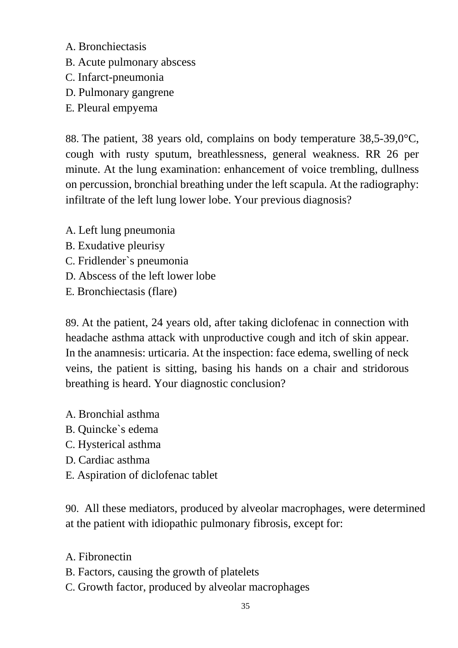- A. Bronchiectasis
- B. Acute pulmonary abscess
- C. Infarct-pneumonia
- D. Pulmonary gangrene
- E. Pleural empyema

88. The patient, 38 years old, complains on body temperature 38,5-39,0°C, cough with rusty sputum, breathlessness, general weakness. RR 26 per minute. At the lung examination: enhancement of voice trembling, dullness on percussion, bronchial breathing under the left scapula. At the radiography: infiltrate of the left lung lower lobe. Your previous diagnosis?

- A. Left lung pneumonia
- B. Exudative pleurisy
- C. Fridlender`s pneumonia
- D. Abscess of the left lower lobe
- E. Bronchiectasis (flare)

89. At the patient, 24 years old, after taking diclofenac in connection with headache asthma attack with unproductive cough and itch of skin appear. In the anamnesis: urticaria. At the inspection: face edema, swelling of neck veins, the patient is sitting, basing his hands on a chair and stridorous breathing is heard. Your diagnostic conclusion?

- A. Bronchial asthma
- B. Quincke`s edema
- C. Hysterical asthma
- D. Cardiac asthma
- E. Aspiration of diclofenac tablet

90. All these mediators, produced by alveolar macrophages, were determined at the patient with idiopathic pulmonary fibrosis, except for:

A. Fibronectin

- B. Factors, causing the growth of platelets
- C. Growth factor, produced by alveolar macrophages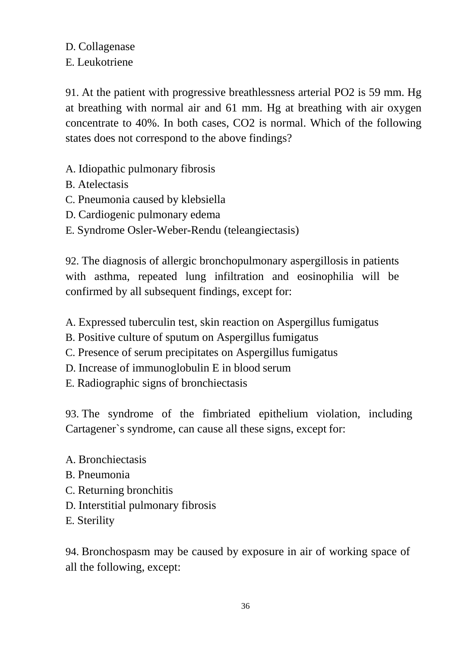D. Collagenase E. Leukotriene

91. At the patient with progressive breathlessness arterial PO2 is 59 mm. Hg at breathing with normal air and 61 mm. Hg at breathing with air oxygen concentrate to 40%. In both cases, CO2 is normal. Which of the following states does not correspond to the above findings?

- A. Idiopathic pulmonary fibrosis
- B. Atelectasis
- C. Pneumonia caused by klebsiella
- D. Cardiogenic pulmonary edema
- E. Syndrome Osler-Weber-Rendu (teleangiectasis)

92. The diagnosis of allergic bronchopulmonary aspergillosis in patients with asthma, repeated lung infiltration and eosinophilia will be confirmed by all subsequent findings, except for:

- A. Expressed tuberculin test, skin reaction on Aspergillus fumigatus
- B. Positive culture of sputum on Aspergillus fumigatus
- C. Presence of serum precipitates on Aspergillus fumigatus
- D. Increase of immunoglobulin E in blood serum
- E. Radiographic signs of bronchiectasis

93. The syndrome of the fimbriated epithelium violation, including Cartagener`s syndrome, can cause all these signs, except for:

- A. Bronchiectasis
- B. Pneumonia
- C. Returning bronchitis
- D. Interstitial pulmonary fibrosis
- E. Sterility

94. Bronchospasm may be caused by exposure in air of working space of all the following, except: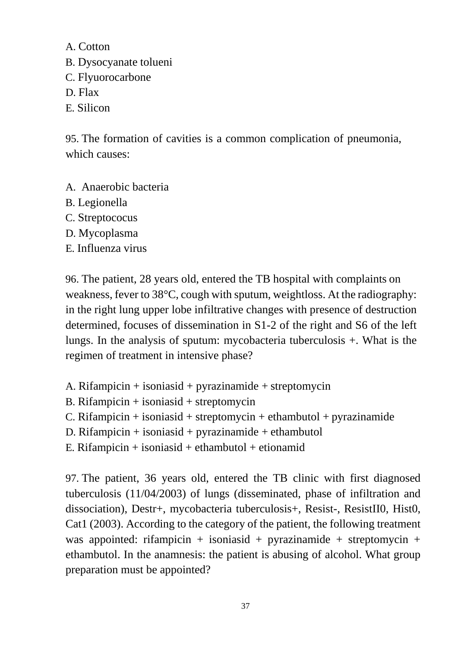A. Cotton

- B. Dysocyanate tolueni
- C. Flyuorocarbone
- D. Flax
- E. Silicon

95. The formation of cavities is a common complication of pneumonia, which causes:

- A. Anaerobic bacteria
- B. Legionella
- C. Streptococus
- D. Mycoplasma
- E. Influenza virus

96. The patient, 28 years old, entered the TB hospital with complaints on weakness, fever to 38°C, cough with sputum, weightloss. At the radiography: in the right lung upper lobe infiltrative changes with presence of destruction determined, focuses of dissemination in S1-2 of the right and S6 of the left lungs. In the analysis of sputum: mycobacteria tuberculosis +. What is the regimen of treatment in intensive phase?

- A. Rifampicin + isoniasid + pyrazinamide + streptomycin
- B. Rifampicin  $+$  isoniasid  $+$  streptomycin
- C. Rifampicin + isoniasid + streptomycin + ethambutol + pyrazinamide
- D. Rifampicin + isoniasid + pyrazinamide + ethambutol
- E. Rifampicin  $+$  isoniasid  $+$  ethambutol  $+$  etionamid

97. The patient, 36 years old, entered the TB clinic with first diagnosed tuberculosis (11/04/2003) of lungs (disseminated, phase of infiltration and dissociation), Destr+, mycobacteria tuberculosis+, Resist-, ResistII0, Hist0, Cat1 (2003). According to the category of the patient, the following treatment was appointed: rifampicin + isoniasid + pyrazinamide + streptomycin + ethambutol. In the anamnesis: the patient is abusing of alcohol. What group preparation must be appointed?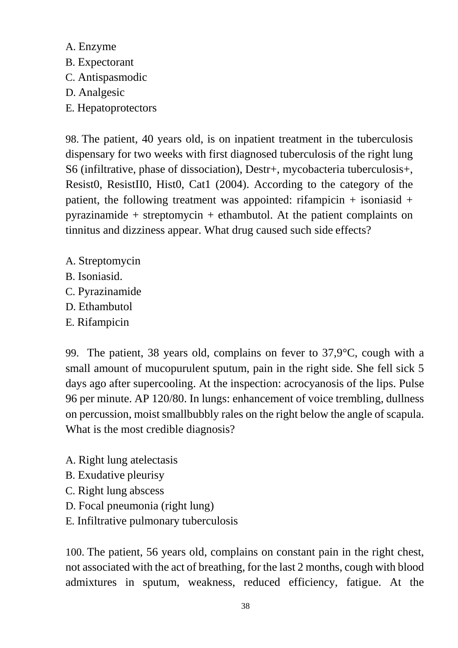- A. Enzyme B. Expectorant C. Antispasmodic D. Analgesic
- E. Hepatoprotectors

98. The patient, 40 years old, is on inpatient treatment in the tuberculosis dispensary for two weeks with first diagnosed tuberculosis of the right lung S6 (infiltrative, phase of dissociation), Destr+, mycobacteria tuberculosis+, Resist0, ResistII0, Hist0, Cat1 (2004). According to the category of the patient, the following treatment was appointed: rifampicin  $+$  isoniasid  $+$ pyrazinamide + streptomycin + ethambutol. At the patient complaints on tinnitus and dizziness appear. What drug caused such side effects?

- A. Streptomycin
- B. Isoniasid.
- C. Pyrazinamide
- D. Ethambutol
- E. Rifampicin

99. The patient, 38 years old, complains on fever to 37,9°C, cough with a small amount of mucopurulent sputum, pain in the right side. She fell sick 5 days ago after supercooling. At the inspection: acrocyanosis of the lips. Pulse 96 per minute. AP 120/80. In lungs: enhancement of voice trembling, dullness on percussion, moist smallbubbly rales on the right below the angle of scapula. What is the most credible diagnosis?

- A. Right lung atelectasis
- B. Exudative pleurisy
- C. Right lung abscess
- D. Focal pneumonia (right lung)
- E. Infiltrative pulmonary tuberculosis

100. The patient, 56 years old, complains on constant pain in the right chest, not associated with the act of breathing, for the last 2 months, cough with blood admixtures in sputum, weakness, reduced efficiency, fatigue. At the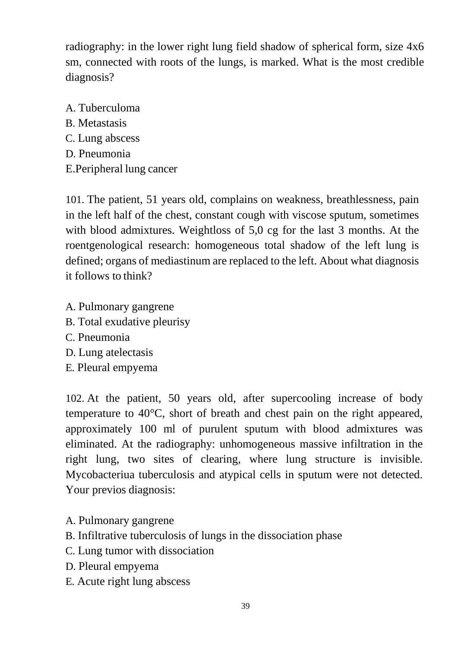radiography: in the lower right lung field shadow of spherical form, size 4x6 sm, connected with roots of the lungs, is marked. What is the most credible diagnosis?

A. Tuberculoma B. Metastasis C. Lung abscess D. Pneumonia E.Peripheral lung cancer

101. The patient, 51 years old, complains on weakness, breathlessness, pain in the left half of the chest, constant cough with viscose sputum, sometimes with blood admixtures. Weightloss of 5,0 cg for the last 3 months. At the roentgenological research: homogeneous total shadow of the left lung is defined; organs of mediastinum are replaced to the left. About what diagnosis it follows to think?

- A. Pulmonary gangrene
- B. Total exudative pleurisy
- C. Pneumonia
- D. Lung atelectasis
- E. Pleural empyema

102. At the patient, 50 years old, after supercooling increase of body temperature to 40°C, short of breath and chest pain on the right appeared, approximately 100 ml of purulent sputum with blood admixtures was eliminated. At the radiography: unhomogeneous massive infiltration in the right lung, two sites of clearing, where lung structure is invisible. Mycobacteriua tuberculosis and atypical cells in sputum were not detected. Your previos diagnosis:

- A. Pulmonary gangrene
- B. Infiltrative tuberculosis of lungs in the dissociation phase
- C. Lung tumor with dissociation
- D. Pleural empyema
- E. Acute right lung abscess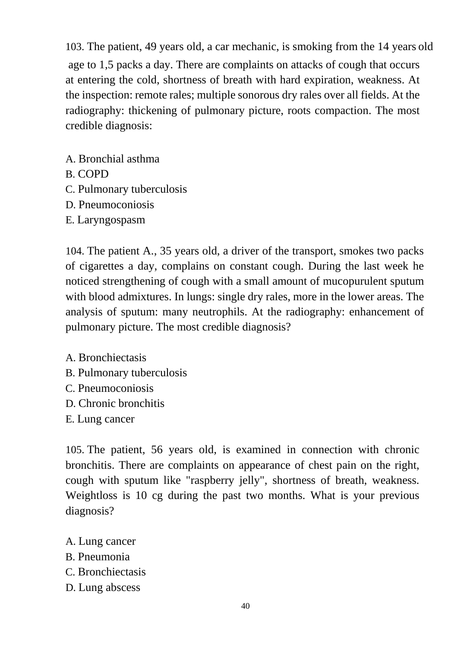103. The patient, 49 years old, a car mechanic, is smoking from the 14 years old age to 1,5 packs a day. There are complaints on attacks of cough that occurs at entering the cold, shortness of breath with hard expiration, weakness. At the inspection: remote rales; multiple sonorous dry rales over all fields. At the radiography: thickening of pulmonary picture, roots compaction. The most credible diagnosis:

- A. Bronchial asthma
- B. COPD
- C. Pulmonary tuberculosis
- D. Pneumoconiosis
- E. Laryngospasm

104. The patient A., 35 years old, a driver of the transport, smokes two packs of cigarettes a day, complains on constant cough. During the last week he noticed strengthening of cough with a small amount of mucopurulent sputum with blood admixtures. In lungs: single dry rales, more in the lower areas. The analysis of sputum: many neutrophils. At the radiography: enhancement of pulmonary picture. The most credible diagnosis?

- A. Bronchiectasis
- B. Pulmonary tuberculosis
- C. Pneumoconiosis
- D. Chronic bronchitis
- E. Lung cancer

105. The patient, 56 years old, is examined in connection with chronic bronchitis. There are complaints on appearance of chest pain on the right, cough with sputum like "raspberry jelly", shortness of breath, weakness. Weightloss is 10 cg during the past two months. What is your previous diagnosis?

- A. Lung cancer
- B. Pneumonia
- C. Bronchiectasis
- D. Lung abscess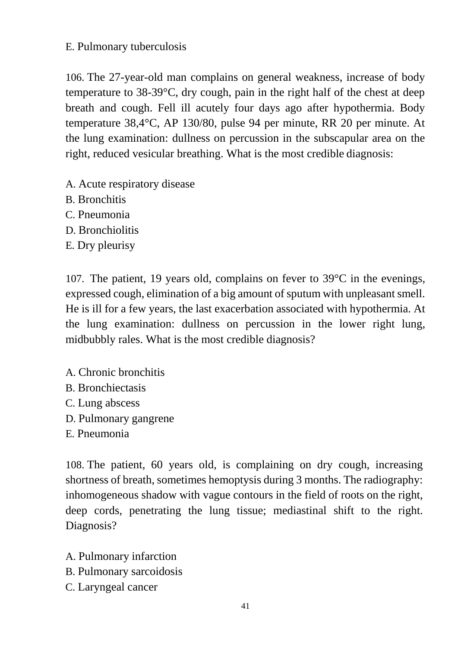## E. Pulmonary tuberculosis

106. The 27-year-old man complains on general weakness, increase of body temperature to 38-39°C, dry cough, pain in the right half of the chest at deep breath and cough. Fell ill acutely four days ago after hypothermia. Body temperature 38,4°C, AP 130/80, pulse 94 per minute, RR 20 per minute. At the lung examination: dullness on percussion in the subscapular area on the right, reduced vesicular breathing. What is the most credible diagnosis:

- A. Acute respiratory disease
- B. Bronchitis
- C. Pneumonia
- D. Bronchiolitis
- E. Dry pleurisy

107. The patient, 19 years old, complains on fever to 39°C in the evenings, expressed cough, elimination of a big amount of sputum with unpleasant smell. He is ill for a few years, the last exacerbation associated with hypothermia. At the lung examination: dullness on percussion in the lower right lung, midbubbly rales. What is the most credible diagnosis?

- A. Chronic bronchitis
- B. Bronchiectasis
- C. Lung abscess
- D. Pulmonary gangrene
- E. Pneumonia

108. The patient, 60 years old, is complaining on dry cough, increasing shortness of breath, sometimes hemoptysis during 3 months. The radiography: inhomogeneous shadow with vague contours in the field of roots on the right, deep cords, penetrating the lung tissue; mediastinal shift to the right. Diagnosis?

- A. Pulmonary infarction
- B. Pulmonary sarcoidosis
- C. Laryngeal cancer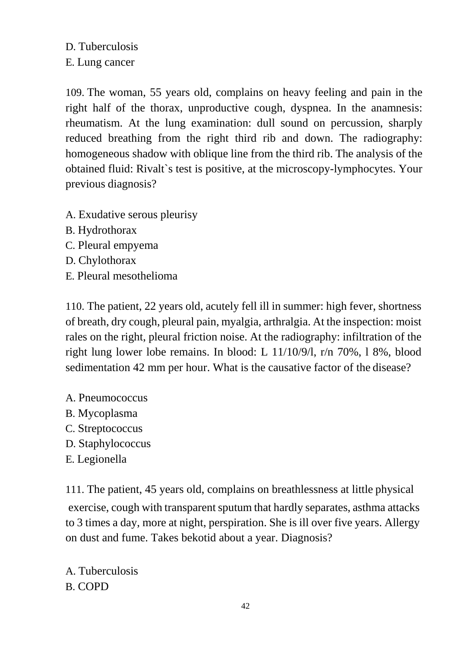D. Tuberculosis E. Lung cancer

109. The woman, 55 years old, complains on heavy feeling and pain in the right half of the thorax, unproductive cough, dyspnea. In the anamnesis: rheumatism. At the lung examination: dull sound on percussion, sharply reduced breathing from the right third rib and down. The radiography: homogeneous shadow with oblique line from the third rib. The analysis of the obtained fluid: Rivalt`s test is positive, at the microscopy-lymphocytes. Your previous diagnosis?

- A. Exudative serous pleurisy
- B. Hydrothorax
- C. Pleural empyema
- D. Chylothorax
- E. Pleural mesothelioma

110. The patient, 22 years old, acutely fell ill in summer: high fever, shortness of breath, dry cough, pleural pain, myalgia, arthralgia. At the inspection: moist rales on the right, pleural friction noise. At the radiography: infiltration of the right lung lower lobe remains. In blood: L 11/10/9/l, r/n 70%, l 8%, blood sedimentation 42 mm per hour. What is the causative factor of the disease?

- A. Pneumococcus
- B. Mycoplasma
- C. Streptococcus
- D. Staphylococcus
- E. Legionella

111. The patient, 45 years old, complains on breathlessness at little physical exercise, cough with transparent sputum that hardly separates, asthma attacks to 3 times a day, more at night, perspiration. She is ill over five years. Allergy on dust and fume. Takes bekotid about a year. Diagnosis?

A. Tuberculosis B. COPD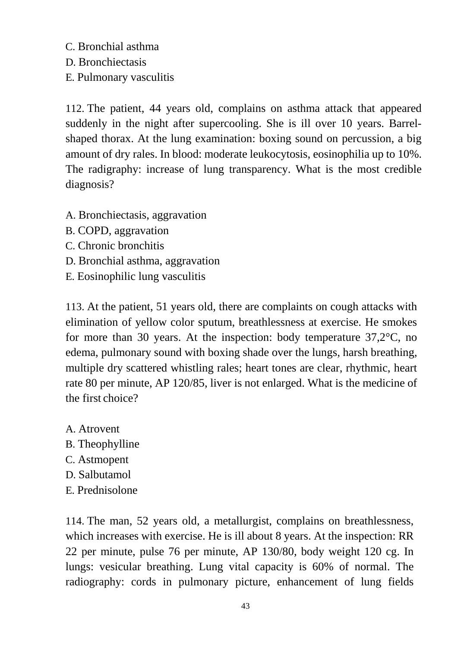C. Bronchial asthma

D. Bronchiectasis

E. Pulmonary vasculitis

112. The patient, 44 years old, complains on asthma attack that appeared suddenly in the night after supercooling. She is ill over 10 years. Barrelshaped thorax. At the lung examination: boxing sound on percussion, a big amount of dry rales. In blood: moderate leukocytosis, eosinophilia up to 10%. The radigraphy: increase of lung transparency. What is the most credible diagnosis?

- A. Bronchiectasis, aggravation
- B. COPD, aggravation
- C. Chronic bronchitis
- D. Bronchial asthma, aggravation
- E. Eosinophilic lung vasculitis

113. At the patient, 51 years old, there are complaints on cough attacks with elimination of yellow color sputum, breathlessness at exercise. He smokes for more than 30 years. At the inspection: body temperature 37,2°C, no edema, pulmonary sound with boxing shade over the lungs, harsh breathing, multiple dry scattered whistling rales; heart tones are clear, rhythmic, heart rate 80 per minute, AP 120/85, liver is not enlarged. What is the medicine of the first choice?

- A. Atrovent
- B. Theophylline
- C. Astmopent
- D. Salbutamol
- E. Prednisolone

114. The man, 52 years old, a metallurgist, complains on breathlessness, which increases with exercise. He is ill about 8 years. At the inspection: RR 22 per minute, pulse 76 per minute, AP 130/80, body weight 120 cg. In lungs: vesicular breathing. Lung vital capacity is 60% of normal. The radiography: cords in pulmonary picture, enhancement of lung fields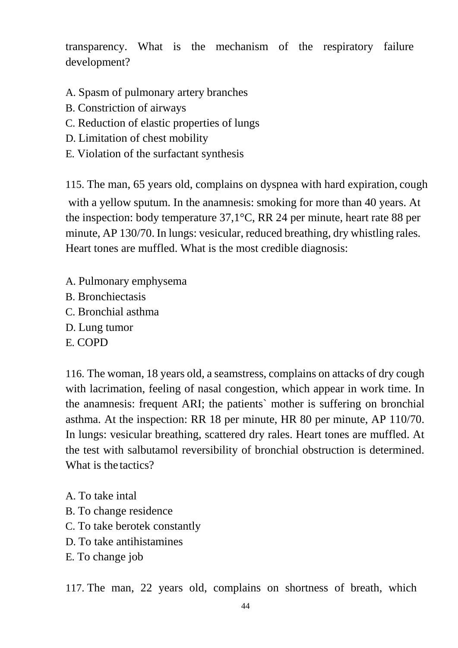transparency. What is the mechanism of the respiratory failure development?

- A. Spasm of pulmonary artery branches
- B. Constriction of airways
- C. Reduction of elastic properties of lungs
- D. Limitation of chest mobility
- E. Violation of the surfactant synthesis

115. The man, 65 years old, complains on dyspnea with hard expiration, cough with a yellow sputum. In the anamnesis: smoking for more than 40 years. At the inspection: body temperature  $37,1^{\circ}$ C, RR 24 per minute, heart rate 88 per minute, AP 130/70. In lungs: vesicular, reduced breathing, dry whistling rales. Heart tones are muffled. What is the most credible diagnosis:

- A. Pulmonary emphysema
- B. Bronchiectasis
- C. Bronchial asthma
- D. Lung tumor
- E. COPD

116. The woman, 18 years old, a seamstress, complains on attacks of dry cough with lacrimation, feeling of nasal congestion, which appear in work time. In the anamnesis: frequent ARI; the patients` mother is suffering on bronchial asthma. At the inspection: RR 18 per minute, HR 80 per minute, AP 110/70. In lungs: vesicular breathing, scattered dry rales. Heart tones are muffled. At the test with salbutamol reversibility of bronchial obstruction is determined. What is the tactics?

- A. To take intal
- B. To change residence
- C. To take berotek constantly
- D. To take antihistamines
- E. To change job

117. The man, 22 years old, complains on shortness of breath, which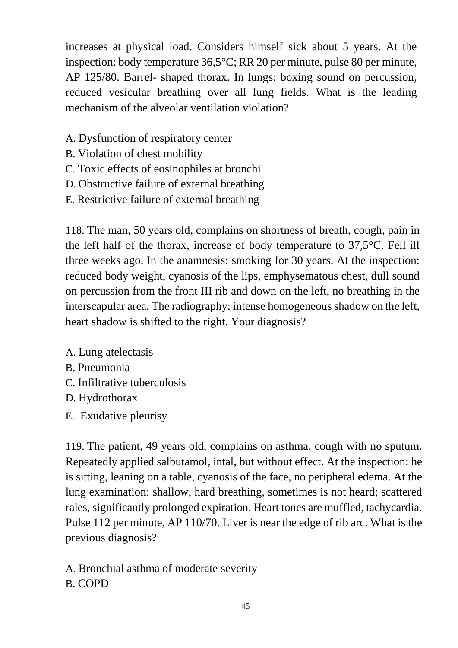increases at physical load. Considers himself sick about 5 years. At the inspection: body temperature 36,5°C; RR 20 per minute, pulse 80 per minute, AP 125/80. Barrel- shaped thorax. In lungs: boxing sound on percussion, reduced vesicular breathing over all lung fields. What is the leading mechanism of the alveolar ventilation violation?

- A. Dysfunction of respiratory center
- B. Violation of chest mobility
- C. Toxic effects of eosinophiles at bronchi
- D. Obstructive failure of external breathing
- E. Restrictive failure of external breathing

118. The man, 50 years old, complains on shortness of breath, cough, pain in the left half of the thorax, increase of body temperature to 37,5°C. Fell ill three weeks ago. In the anamnesis: smoking for 30 years. At the inspection: reduced body weight, cyanosis of the lips, emphysematous chest, dull sound on percussion from the front III rib and down on the left, no breathing in the interscapular area. The radiography: intense homogeneous shadow on the left, heart shadow is shifted to the right. Your diagnosis?

- A. Lung atelectasis
- B. Pneumonia
- C. Infiltrative tuberculosis
- D. Hydrothorax
- E. Exudative pleurisy

119. The patient, 49 years old, complains on asthma, cough with no sputum. Repeatedly applied salbutamol, intal, but without effect. At the inspection: he is sitting, leaning on a table, cyanosis of the face, no peripheral edema. At the lung examination: shallow, hard breathing, sometimes is not heard; scattered rales, significantly prolonged expiration. Heart tones are muffled, tachycardia. Pulse 112 per minute, AP 110/70. Liver is near the edge of rib arc. What is the previous diagnosis?

A. Bronchial asthma of moderate severity B. COPD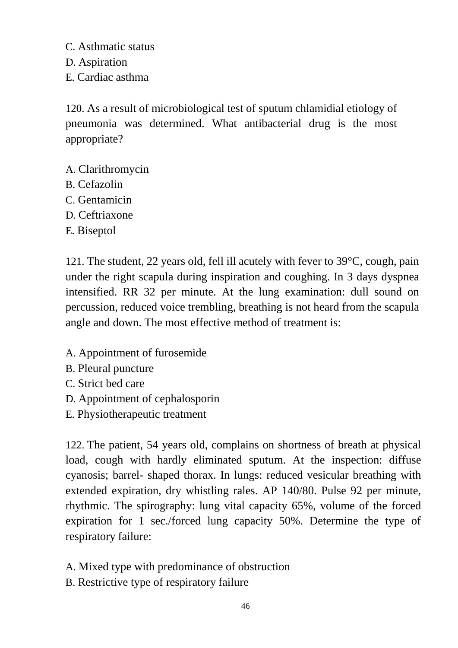C. Asthmatic status D. Aspiration E. Cardiac asthma

120. As a result of microbiological test of sputum chlamidial etiology of pneumonia was determined. What antibacterial drug is the most appropriate?

- A. Clarithromycin
- B. Cefazolin
- C. Gentamicin
- D. Ceftriaxone
- E. Biseptol

121. The student, 22 years old, fell ill acutely with fever to 39°C, cough, pain under the right scapula during inspiration and coughing. In 3 days dyspnea intensified. RR 32 per minute. At the lung examination: dull sound on percussion, reduced voice trembling, breathing is not heard from the scapula angle and down. The most effective method of treatment is:

- A. Appointment of furosemide
- B. Pleural puncture
- C. Strict bed care
- D. Appointment of cephalosporin
- E. Physiotherapeutic treatment

122. The patient, 54 years old, complains on shortness of breath at physical load, cough with hardly eliminated sputum. At the inspection: diffuse cyanosis; barrel- shaped thorax. In lungs: reduced vesicular breathing with extended expiration, dry whistling rales. AP 140/80. Pulse 92 per minute, rhythmic. The spirography: lung vital capacity 65%, volume of the forced expiration for 1 sec./forced lung capacity 50%. Determine the type of respiratory failure:

- A. Mixed type with predominance of obstruction
- B. Restrictive type of respiratory failure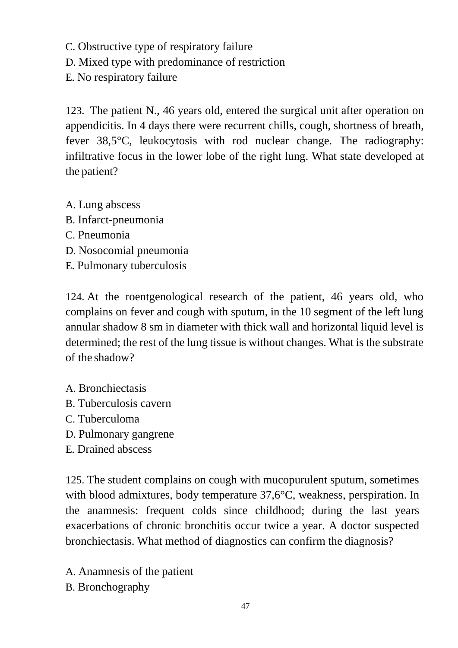C. Obstructive type of respiratory failure

D. Mixed type with predominance of restriction

E. No respiratory failure

123. The patient N., 46 years old, entered the surgical unit after operation on appendicitis. In 4 days there were recurrent chills, cough, shortness of breath, fever 38,5°C, leukocytosis with rod nuclear change. The radiography: infiltrative focus in the lower lobe of the right lung. What state developed at the patient?

A. Lung abscess

- B. Infarct-pneumonia
- C. Pneumonia
- D. Nosocomial pneumonia
- E. Pulmonary tuberculosis

124. At the roentgenological research of the patient, 46 years old, who complains on fever and cough with sputum, in the 10 segment of the left lung annular shadow 8 sm in diameter with thick wall and horizontal liquid level is determined; the rest of the lung tissue is without changes. What is the substrate of the shadow?

A. Bronchiectasis

- B. Tuberculosis cavern
- C. Tuberculoma
- D. Pulmonary gangrene
- E. Drained abscess

125. The student complains on cough with mucopurulent sputum, sometimes with blood admixtures, body temperature 37,6<sup>o</sup>C, weakness, perspiration. In the anamnesis: frequent colds since childhood; during the last years exacerbations of chronic bronchitis occur twice a year. A doctor suspected bronchiectasis. What method of diagnostics can confirm the diagnosis?

A. Anamnesis of the patient B. Bronchography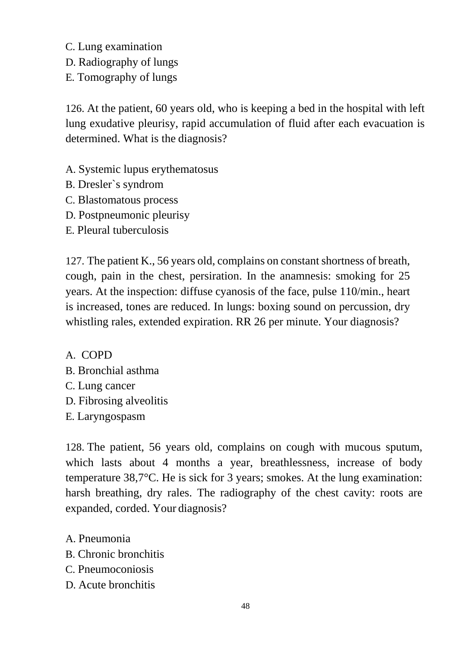C. Lung examination D. Radiography of lungs

E. Tomography of lungs

126. At the patient, 60 years old, who is keeping a bed in the hospital with left lung exudative pleurisy, rapid accumulation of fluid after each evacuation is determined. What is the diagnosis?

- A. Systemic lupus erythematosus
- B. Dresler`s syndrom
- C. Blastomatous process
- D. Postpneumonic pleurisy
- E. Pleural tuberculosis

127. The patient K., 56 years old, complains on constant shortness of breath, cough, pain in the chest, persiration. In the anamnesis: smoking for 25 years. At the inspection: diffuse cyanosis of the face, pulse 110/min., heart is increased, tones are reduced. In lungs: boxing sound on percussion, dry whistling rales, extended expiration. RR 26 per minute. Your diagnosis?

A. COPD

- B. Bronchial asthma
- C. Lung cancer
- D. Fibrosing alveolitis
- E. Laryngospasm

128. The patient, 56 years old, complains on cough with mucous sputum, which lasts about 4 months a year, breathlessness, increase of body temperature 38,7°C. He is sick for 3 years; smokes. At the lung examination: harsh breathing, dry rales. The radiography of the chest cavity: roots are expanded, corded. Your diagnosis?

- A. Pneumonia
- B. Chronic bronchitis
- C. Pneumoconiosis
- D. Acute bronchitis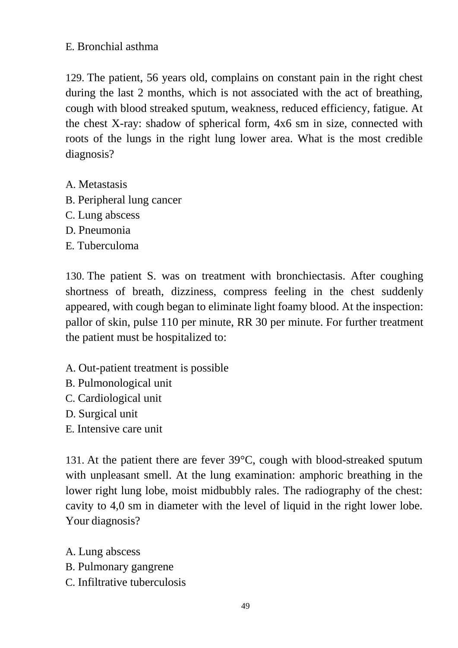### E. Bronchial asthma

129. The patient, 56 years old, complains on constant pain in the right chest during the last 2 months, which is not associated with the act of breathing, cough with blood streaked sputum, weakness, reduced efficiency, fatigue. At the chest X-ray: shadow of spherical form, 4x6 sm in size, connected with roots of the lungs in the right lung lower area. What is the most credible diagnosis?

- A. Metastasis
- B. Peripheral lung cancer
- C. Lung abscess
- D. Pneumonia
- E. Tuberculoma

130. The patient S. was on treatment with bronchiectasis. After coughing shortness of breath, dizziness, compress feeling in the chest suddenly appeared, with cough began to eliminate light foamy blood. At the inspection: pallor of skin, pulse 110 per minute, RR 30 per minute. For further treatment the patient must be hospitalized to:

- A. Out-patient treatment is possible
- B. Pulmonological unit
- C. Cardiological unit
- D. Surgical unit
- E. Intensive care unit

131. At the patient there are fever 39°C, cough with blood-streaked sputum with unpleasant smell. At the lung examination: amphoric breathing in the lower right lung lobe, moist midbubbly rales. The radiography of the chest: cavity to 4,0 sm in diameter with the level of liquid in the right lower lobe. Your diagnosis?

A. Lung abscess

- B. Pulmonary gangrene
- C. Infiltrative tuberculosis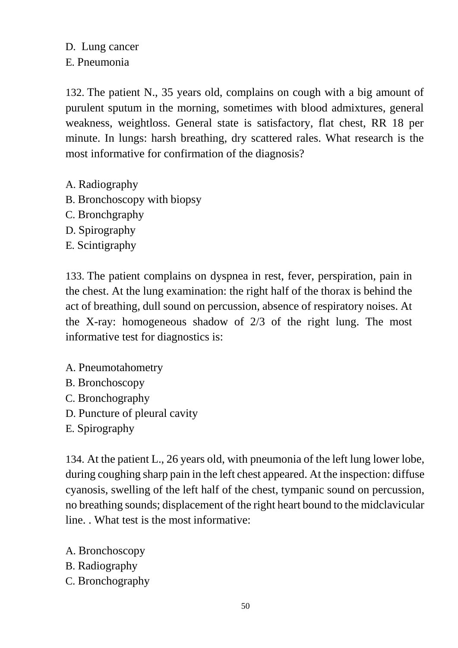#### D. Lung cancer E. Pneumonia

132. The patient N., 35 years old, complains on cough with a big amount of purulent sputum in the morning, sometimes with blood admixtures, general weakness, weightloss. General state is satisfactory, flat chest, RR 18 per minute. In lungs: harsh breathing, dry scattered rales. What research is the most informative for confirmation of the diagnosis?

- A. Radiography
- B. Bronchoscopy with biopsy
- C. Bronchgraphy
- D. Spirography
- E. Scintigraphy

133. The patient complains on dyspnea in rest, fever, perspiration, pain in the chest. At the lung examination: the right half of the thorax is behind the act of breathing, dull sound on percussion, absence of respiratory noises. At the X-ray: homogeneous shadow of 2/3 of the right lung. The most informative test for diagnostics is:

- A. Pneumotahometry
- B. Bronchoscopy
- C. Bronchography
- D. Puncture of pleural cavity
- E. Spirography

134. At the patient L., 26 years old, with pneumonia of the left lung lower lobe, during coughing sharp pain in the left chest appeared. At the inspection: diffuse cyanosis, swelling of the left half of the chest, tympanic sound on percussion, no breathing sounds; displacement of the right heart bound to the midclavicular line. . What test is the most informative:

- A. Bronchoscopy
- B. Radiography
- C. Bronchography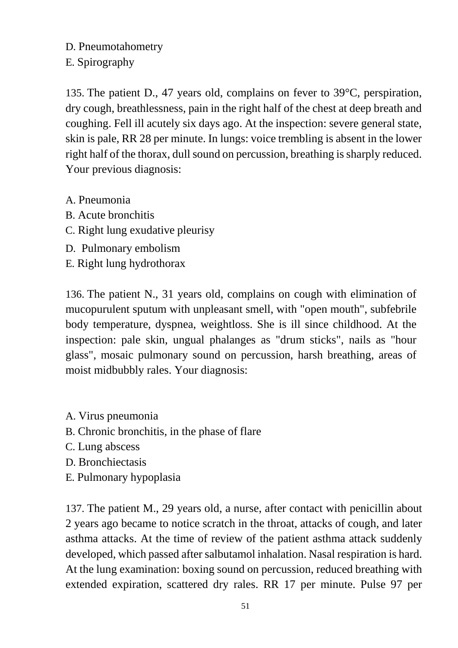D. Pneumotahometry E. Spirography

135. The patient D., 47 years old, complains on fever to 39°C, perspiration, dry cough, breathlessness, pain in the right half of the chest at deep breath and coughing. Fell ill acutely six days ago. At the inspection: severe general state, skin is pale, RR 28 per minute. In lungs: voice trembling is absent in the lower right half of the thorax, dull sound on percussion, breathing is sharply reduced. Your previous diagnosis:

- A. Pneumonia
- B. Acute bronchitis
- C. Right lung exudative pleurisy
- D. Pulmonary embolism
- E. Right lung hydrothorax

136. The patient N., 31 years old, complains on cough with elimination of mucopurulent sputum with unpleasant smell, with "open mouth", subfebrile body temperature, dyspnea, weightloss. She is ill since childhood. At the inspection: pale skin, ungual phalanges as "drum sticks", nails as "hour glass", mosaic pulmonary sound on percussion, harsh breathing, areas of moist midbubbly rales. Your diagnosis:

- A. Virus pneumonia
- B. Chronic bronchitis, in the phase of flare
- C. Lung abscess
- D. Bronchiectasis
- E. Pulmonary hypoplasia

137. The patient M., 29 years old, a nurse, after contact with penicillin about 2 years ago became to notice scratch in the throat, attacks of cough, and later asthma attacks. At the time of review of the patient asthma attack suddenly developed, which passed after salbutamol inhalation. Nasal respiration is hard. At the lung examination: boxing sound on percussion, reduced breathing with extended expiration, scattered dry rales. RR 17 per minute. Pulse 97 per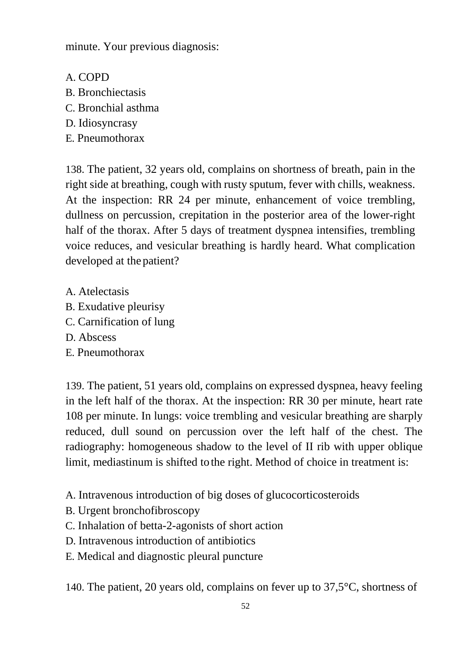minute. Your previous diagnosis:

- A. COPD
- B. Bronchiectasis
- C. Bronchial asthma
- D. Idiosyncrasy
- E. Pneumothorax

138. The patient, 32 years old, complains on shortness of breath, pain in the right side at breathing, cough with rusty sputum, fever with chills, weakness. At the inspection: RR 24 per minute, enhancement of voice trembling, dullness on percussion, crepitation in the posterior area of the lower-right half of the thorax. After 5 days of treatment dyspnea intensifies, trembling voice reduces, and vesicular breathing is hardly heard. What complication developed at the patient?

- A. Atelectasis
- B. Exudative pleurisy
- C. Carnification of lung
- D. Abscess
- E. Pneumothorax

139. The patient, 51 years old, complains on expressed dyspnea, heavy feeling in the left half of the thorax. At the inspection: RR 30 per minute, heart rate 108 per minute. In lungs: voice trembling and vesicular breathing are sharply reduced, dull sound on percussion over the left half of the chest. The radiography: homogeneous shadow to the level of II rib with upper oblique limit, mediastinum is shifted to the right. Method of choice in treatment is:

- A. Intravenous introduction of big doses of glucocorticosteroids
- B. Urgent bronchofibroscopy
- C. Inhalation of betta-2-agonists of short action
- D. Intravenous introduction of antibiotics
- E. Medical and diagnostic pleural puncture

140. The patient, 20 years old, complains on fever up to 37,5°C, shortness of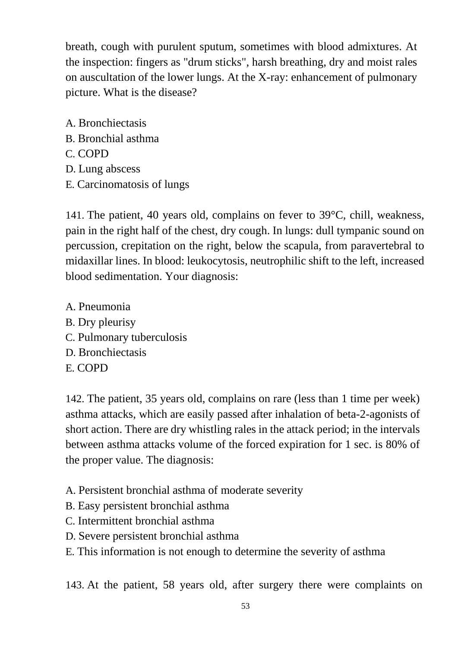breath, cough with purulent sputum, sometimes with blood admixtures. At the inspection: fingers as "drum sticks", harsh breathing, dry and moist rales on auscultation of the lower lungs. At the X-ray: enhancement of pulmonary picture. What is the disease?

A. Bronchiectasis B. Bronchial asthma C. COPD D. Lung abscess E. Carcinomatosis of lungs

141. The patient, 40 years old, complains on fever to 39°C, chill, weakness, pain in the right half of the chest, dry cough. In lungs: dull tympanic sound on percussion, crepitation on the right, below the scapula, from paravertebral to midaxillar lines. In blood: leukocytosis, neutrophilic shift to the left, increased blood sedimentation. Your diagnosis:

A. Pneumonia B. Dry pleurisy C. Pulmonary tuberculosis D. Bronchiectasis E. COPD

142. The patient, 35 years old, complains on rare (less than 1 time per week) asthma attacks, which are easily passed after inhalation of beta-2-agonists of short action. There are dry whistling rales in the attack period; in the intervals between asthma attacks volume of the forced expiration for 1 sec. is 80% of the proper value. The diagnosis:

- A. Persistent bronchial asthma of moderate severity
- B. Easy persistent bronchial asthma
- C. Intermittent bronchial asthma
- D. Severe persistent bronchial asthma
- E. This information is not enough to determine the severity of asthma

143. At the patient, 58 years old, after surgery there were complaints on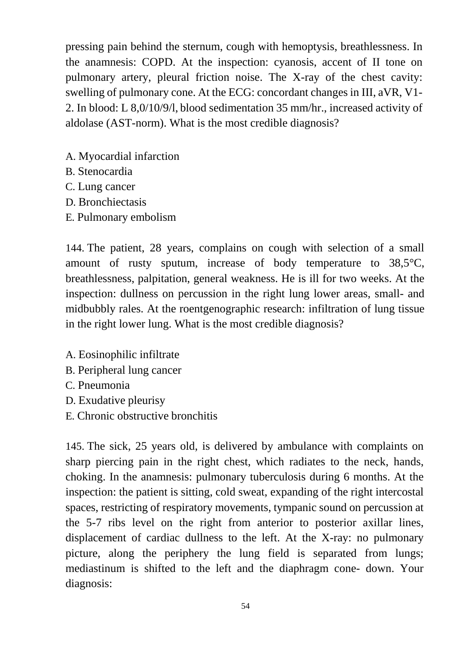pressing pain behind the sternum, cough with hemoptysis, breathlessness. In the anamnesis: COPD. At the inspection: cyanosis, accent of II tone on pulmonary artery, pleural friction noise. The X-ray of the chest cavity: swelling of pulmonary cone. At the ECG: concordant changes in III, aVR, V1- 2. In blood: L 8,0/10/9/l, blood sedimentation 35 mm/hr., increased activity of aldolase (AST-norm). What is the most credible diagnosis?

- A. Myocardial infarction
- B. Stenocardia
- C. Lung cancer
- D. Bronchiectasis
- E. Pulmonary embolism

144. The patient, 28 years, complains on cough with selection of a small amount of rusty sputum, increase of body temperature to 38,5°C, breathlessness, palpitation, general weakness. He is ill for two weeks. At the inspection: dullness on percussion in the right lung lower areas, small- and midbubbly rales. At the roentgenographic research: infiltration of lung tissue in the right lower lung. What is the most credible diagnosis?

- A. Eosinophilic infiltrate
- B. Peripheral lung cancer
- C. Pneumonia
- D. Exudative pleurisy
- E. Chronic obstructive bronchitis

145. The sick, 25 years old, is delivered by ambulance with complaints on sharp piercing pain in the right chest, which radiates to the neck, hands, choking. In the anamnesis: pulmonary tuberculosis during 6 months. At the inspection: the patient is sitting, cold sweat, expanding of the right intercostal spaces, restricting of respiratory movements, tympanic sound on percussion at the 5-7 ribs level on the right from anterior to posterior axillar lines, displacement of cardiac dullness to the left. At the X-ray: no pulmonary picture, along the periphery the lung field is separated from lungs; mediastinum is shifted to the left and the diaphragm cone- down. Your diagnosis: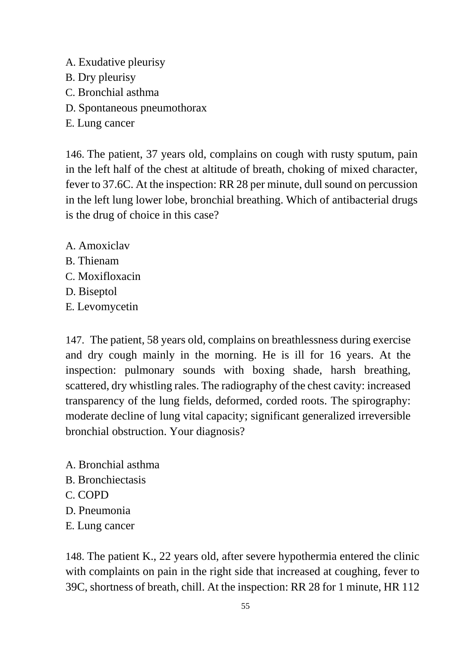- A. Exudative pleurisy
- B. Dry pleurisy
- C. Bronchial asthma
- D. Spontaneous pneumothorax
- E. Lung cancer

146. The patient, 37 years old, complains on cough with rusty sputum, pain in the left half of the chest at altitude of breath, choking of mixed character, fever to 37.6C. At the inspection: RR 28 per minute, dull sound on percussion in the left lung lower lobe, bronchial breathing. Which of antibacterial drugs is the drug of choice in this case?

A. Amoxiclav B. Thienam C. Moxifloxacin D. Biseptol E. Levomycetin

147. The patient, 58 years old, complains on breathlessness during exercise and dry cough mainly in the morning. He is ill for 16 years. At the inspection: pulmonary sounds with boxing shade, harsh breathing, scattered, dry whistling rales. The radiography of the chest cavity: increased transparency of the lung fields, deformed, corded roots. The spirography: moderate decline of lung vital capacity; significant generalized irreversible bronchial obstruction. Your diagnosis?

- A. Bronchial asthma
- B. Bronchiectasis
- C. COPD
- D. Pneumonia
- E. Lung cancer

148. The patient K., 22 years old, after severe hypothermia entered the clinic with complaints on pain in the right side that increased at coughing, fever to 39C, shortness of breath, chill. At the inspection: RR 28 for 1 minute, HR 112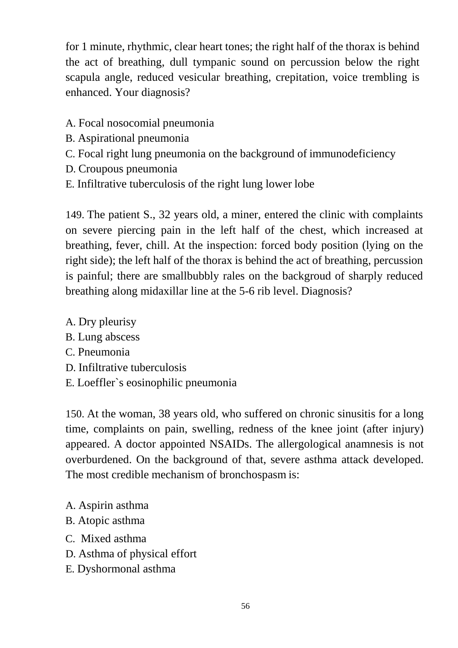for 1 minute, rhythmic, clear heart tones; the right half of the thorax is behind the act of breathing, dull tympanic sound on percussion below the right scapula angle, reduced vesicular breathing, crepitation, voice trembling is enhanced. Your diagnosis?

- A. Focal nosocomial pneumonia
- B. Aspirational pneumonia
- C. Focal right lung pneumonia on the background of immunodeficiency
- D. Croupous pneumonia
- E. Infiltrative tuberculosis of the right lung lower lobe

149. The patient S., 32 years old, a miner, entered the clinic with complaints on severe piercing pain in the left half of the chest, which increased at breathing, fever, chill. At the inspection: forced body position (lying on the right side); the left half of the thorax is behind the act of breathing, percussion is painful; there are smallbubbly rales on the backgroud of sharply reduced breathing along midaxillar line at the 5-6 rib level. Diagnosis?

- A. Dry pleurisy
- B. Lung abscess
- C. Pneumonia
- D. Infiltrative tuberculosis
- E. Loeffler`s eosinophilic pneumonia

150. At the woman, 38 years old, who suffered on chronic sinusitis for a long time, complaints on pain, swelling, redness of the knee joint (after injury) appeared. A doctor appointed NSAIDs. The allergological anamnesis is not overburdened. On the background of that, severe asthma attack developed. The most credible mechanism of bronchospasm is:

- A. Aspirin asthma
- B. Atopic asthma
- C. Mixed asthma
- D. Asthma of physical effort
- E. Dyshormonal asthma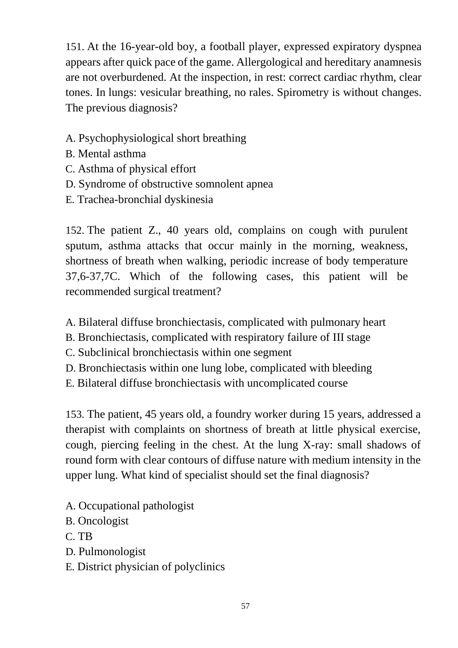151. At the 16-year-old boy, a football player, expressed expiratory dyspnea appears after quick pace of the game. Allergological and hereditary anamnesis are not overburdened. At the inspection, in rest: correct cardiac rhythm, clear tones. In lungs: vesicular breathing, no rales. Spirometry is without changes. The previous diagnosis?

- A. Psychophysiological short breathing
- B. Mental asthma
- C. Asthma of physical effort
- D. Syndrome of obstructive somnolent apnea
- E. Trachea-bronchial dyskinesia

152. The patient Z., 40 years old, complains on cough with purulent sputum, asthma attacks that occur mainly in the morning, weakness, shortness of breath when walking, periodic increase of body temperature 37,6-37,7C. Which of the following cases, this patient will be recommended surgical treatment?

- A. Bilateral diffuse bronchiectasis, complicated with pulmonary heart
- B. Bronchiectasis, complicated with respiratory failure of III stage
- C. Subclinical bronchiectasis within one segment
- D. Bronchiectasis within one lung lobe, complicated with bleeding
- E. Bilateral diffuse bronchiectasis with uncomplicated course

153. The patient, 45 years old, a foundry worker during 15 years, addressed a therapist with complaints on shortness of breath at little physical exercise, cough, piercing feeling in the chest. At the lung X-ray: small shadows of round form with clear contours of diffuse nature with medium intensity in the upper lung. What kind of specialist should set the final diagnosis?

- A. Occupational pathologist
- B. Oncologist
- C. TB
- D. Pulmonologist
- E. District physician of polyclinics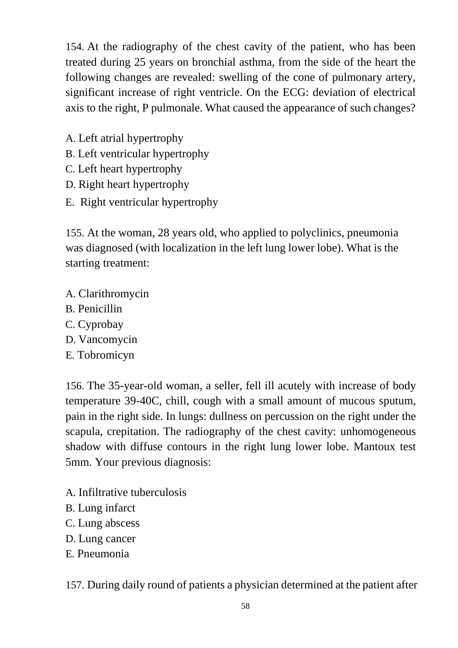154. At the radiography of the chest cavity of the patient, who has been treated during 25 years on bronchial asthma, from the side of the heart the following changes are revealed: swelling of the cone of pulmonary artery, significant increase of right ventricle. On the ECG: deviation of electrical axis to the right, P pulmonale. What caused the appearance of such changes?

- A. Left atrial hypertrophy
- B. Left ventricular hypertrophy
- C. Left heart hypertrophy
- D. Right heart hypertrophy
- E. Right ventricular hypertrophy

155. At the woman, 28 years old, who applied to polyclinics, pneumonia was diagnosed (with localization in the left lung lower lobe). What is the starting treatment:

- A. Clarithromycin
- B. Penicillin
- C. Cyprobay
- D. Vancomycin
- E. Tobromicyn

156. The 35-year-old woman, a seller, fell ill acutely with increase of body temperature 39-40C, chill, cough with a small amount of mucous sputum, pain in the right side. In lungs: dullness on percussion on the right under the scapula, crepitation. The radiography of the chest cavity: unhomogeneous shadow with diffuse contours in the right lung lower lobe. Mantoux test 5mm. Your previous diagnosis:

- A. Infiltrative tuberculosis
- B. Lung infarct
- C. Lung abscess
- D. Lung cancer
- E. Pneumonia

157. During daily round of patients a physician determined at the patient after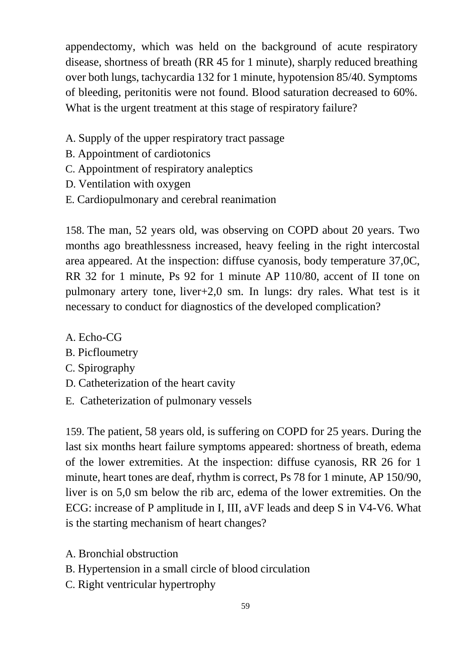appendectomy, which was held on the background of acute respiratory disease, shortness of breath (RR 45 for 1 minute), sharply reduced breathing over both lungs, tachycardia 132 for 1 minute, hypotension 85/40. Symptoms of bleeding, peritonitis were not found. Blood saturation decreased to 60%. What is the urgent treatment at this stage of respiratory failure?

- A. Supply of the upper respiratory tract passage
- B. Appointment of cardiotonics
- C. Appointment of respiratory analeptics
- D. Ventilation with oxygen
- E. Cardiopulmonary and cerebral reanimation

158. The man, 52 years old, was observing on COPD about 20 years. Two months ago breathlessness increased, heavy feeling in the right intercostal area appeared. At the inspection: diffuse cyanosis, body temperature 37,0C, RR 32 for 1 minute, Ps 92 for 1 minute AP 110/80, accent of II tone on pulmonary artery tone, liver+2,0 sm. In lungs: dry rales. What test is it necessary to conduct for diagnostics of the developed complication?

- A. Echo-CG
- B. Picfloumetry
- C. Spirography
- D. Catheterization of the heart cavity
- E. Catheterization of pulmonary vessels

159. The patient, 58 years old, is suffering on COPD for 25 years. During the last six months heart failure symptoms appeared: shortness of breath, edema of the lower extremities. At the inspection: diffuse cyanosis, RR 26 for 1 minute, heart tones are deaf, rhythm is correct, Ps 78 for 1 minute, AP 150/90, liver is on 5,0 sm below the rib arc, edema of the lower extremities. On the ECG: increase of P amplitude in I, III, aVF leads and deep S in V4-V6. What is the starting mechanism of heart changes?

- A. Bronchial obstruction
- B. Hypertension in a small circle of blood circulation
- C. Right ventricular hypertrophy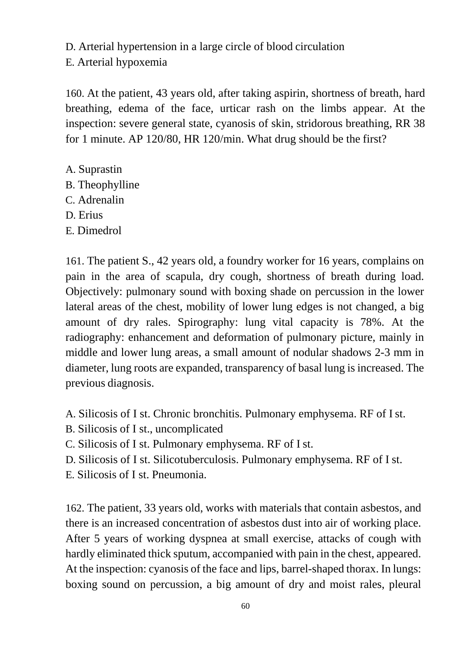D. Arterial hypertension in a large circle of blood circulation E. Arterial hypoxemia

160. At the patient, 43 years old, after taking aspirin, shortness of breath, hard breathing, edema of the face, urticar rash on the limbs appear. At the inspection: severe general state, cyanosis of skin, stridorous breathing, RR 38 for 1 minute. AP 120/80, HR 120/min. What drug should be the first?

- A. Suprastin
- B. Theophylline
- C. Adrenalin
- D. Erius
- E. Dimedrol

161. The patient S., 42 years old, a foundry worker for 16 years, complains on pain in the area of scapula, dry cough, shortness of breath during load. Objectively: pulmonary sound with boxing shade on percussion in the lower lateral areas of the chest, mobility of lower lung edges is not changed, a big amount of dry rales. Spirography: lung vital capacity is 78%. At the radiography: enhancement and deformation of pulmonary picture, mainly in middle and lower lung areas, a small amount of nodular shadows 2-3 mm in diameter, lung roots are expanded, transparency of basal lung is increased. The previous diagnosis.

A. Silicosis of I st. Chronic bronchitis. Pulmonary emphysema. RF of Ist.

- B. Silicosis of I st., uncomplicated
- C. Silicosis of I st. Pulmonary emphysema. RF of I st.
- D. Silicosis of I st. Silicotuberculosis. Pulmonary emphysema. RF of I st.
- E. Silicosis of I st. Pneumonia.

162. The patient, 33 years old, works with materials that contain asbestos, and there is an increased concentration of asbestos dust into air of working place. After 5 years of working dyspnea at small exercise, attacks of cough with hardly eliminated thick sputum, accompanied with pain in the chest, appeared. At the inspection: cyanosis of the face and lips, barrel-shaped thorax. In lungs: boxing sound on percussion, a big amount of dry and moist rales, pleural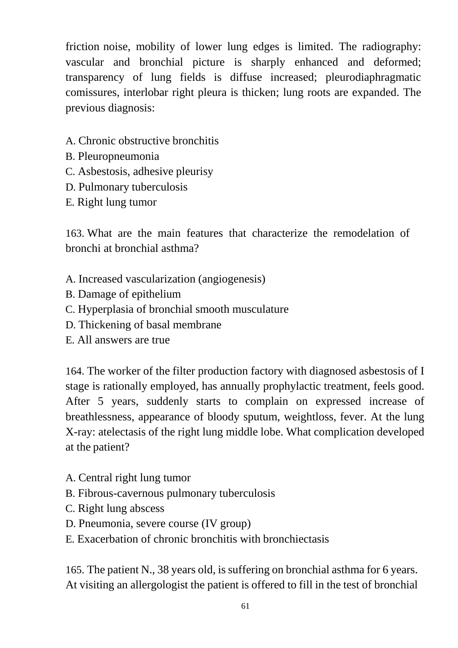friction noise, mobility of lower lung edges is limited. The radiography: vascular and bronchial picture is sharply enhanced and deformed; transparency of lung fields is diffuse increased; pleurodiaphragmatic comissures, interlobar right pleura is thicken; lung roots are expanded. The previous diagnosis:

- A. Chronic obstructive bronchitis
- B. Pleuropneumonia
- C. Asbestosis, adhesive pleurisy
- D. Pulmonary tuberculosis
- E. Right lung tumor

163. What are the main features that characterize the remodelation of bronchi at bronchial asthma?

- A. Increased vascularization (angiogenesis)
- B. Damage of epithelium
- C. Hyperplasia of bronchial smooth musculature
- D. Thickening of basal membrane
- E. All answers are true

164. The worker of the filter production factory with diagnosed asbestosis of I stage is rationally employed, has annually prophylactic treatment, feels good. After 5 years, suddenly starts to complain on expressed increase of breathlessness, appearance of bloody sputum, weightloss, fever. At the lung X-ray: atelectasis of the right lung middle lobe. What complication developed at the patient?

- A. Central right lung tumor
- B. Fibrous-cavernous pulmonary tuberculosis
- C. Right lung abscess
- D. Pneumonia, severe course (IV group)
- E. Exacerbation of chronic bronchitis with bronchiectasis

165. The patient N., 38 years old, is suffering on bronchial asthma for 6 years. At visiting an allergologist the patient is offered to fill in the test of bronchial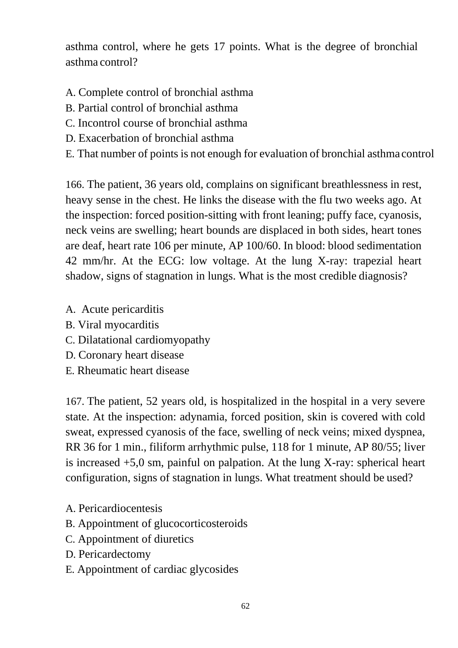asthma control, where he gets 17 points. What is the degree of bronchial asthma control?

- A. Complete control of bronchial asthma
- B. Partial control of bronchial asthma
- C. Incontrol course of bronchial asthma
- D. Exacerbation of bronchial asthma
- E. That number of points is not enough for evaluation of bronchial asthma control

166. The patient, 36 years old, complains on significant breathlessness in rest, heavy sense in the chest. He links the disease with the flu two weeks ago. At the inspection: forced position-sitting with front leaning; puffy face, cyanosis, neck veins are swelling; heart bounds are displaced in both sides, heart tones are deaf, heart rate 106 per minute, AP 100/60. In blood: blood sedimentation 42 mm/hr. At the ECG: low voltage. At the lung X-ray: trapezial heart shadow, signs of stagnation in lungs. What is the most credible diagnosis?

- A. Acute pericarditis
- B. Viral myocarditis
- C. Dilatational cardiomyopathy
- D. Coronary heart disease
- E. Rheumatic heart disease

167. The patient, 52 years old, is hospitalized in the hospital in a very severe state. At the inspection: adynamia, forced position, skin is covered with cold sweat, expressed cyanosis of the face, swelling of neck veins; mixed dyspnea, RR 36 for 1 min., filiform arrhythmic pulse, 118 for 1 minute, AP 80/55; liver is increased  $+5,0$  sm, painful on palpation. At the lung X-ray: spherical heart configuration, signs of stagnation in lungs. What treatment should be used?

- A. Pericardiocentesis
- B. Appointment of glucocorticosteroids
- C. Appointment of diuretics
- D. Pericardectomy
- E. Appointment of cardiac glycosides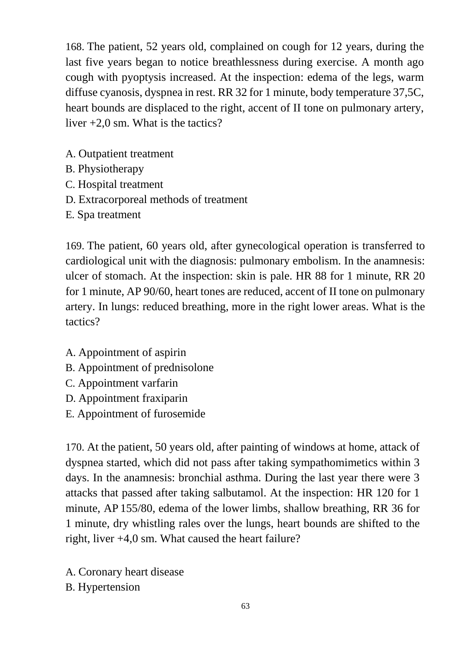168. The patient, 52 years old, complained on cough for 12 years, during the last five years began to notice breathlessness during exercise. A month ago cough with pyoptysis increased. At the inspection: edema of the legs, warm diffuse cyanosis, dyspnea in rest. RR 32 for 1 minute, body temperature 37,5C, heart bounds are displaced to the right, accent of II tone on pulmonary artery, liver +2,0 sm. What is the tactics?

- A. Outpatient treatment
- B. Physiotherapy
- C. Hospital treatment
- D. Extracorporeal methods of treatment
- E. Spa treatment

169. The patient, 60 years old, after gynecological operation is transferred to cardiological unit with the diagnosis: pulmonary embolism. In the anamnesis: ulcer of stomach. At the inspection: skin is pale. HR 88 for 1 minute, RR 20 for 1 minute, AP 90/60, heart tones are reduced, accent of II tone on pulmonary artery. In lungs: reduced breathing, more in the right lower areas. What is the tactics?

- A. Appointment of aspirin
- B. Appointment of prednisolone
- C. Appointment varfarin
- D. Appointment fraxiparin
- E. Appointment of furosemide

170. At the patient, 50 years old, after painting of windows at home, attack of dyspnea started, which did not pass after taking sympathomimetics within 3 days. In the anamnesis: bronchial asthma. During the last year there were 3 attacks that passed after taking salbutamol. At the inspection: HR 120 for 1 minute, AP 155/80, edema of the lower limbs, shallow breathing, RR 36 for 1 minute, dry whistling rales over the lungs, heart bounds are shifted to the right, liver +4,0 sm. What caused the heart failure?

A. Coronary heart disease B. Hypertension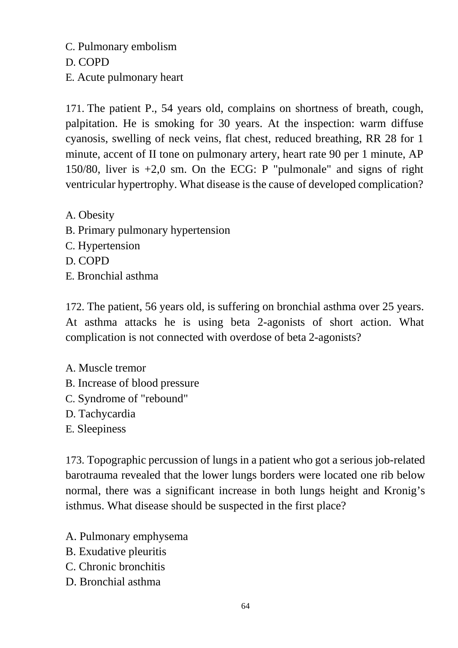C. Pulmonary embolism

D. COPD

E. Acute pulmonary heart

171. The patient P., 54 years old, complains on shortness of breath, cough, palpitation. He is smoking for 30 years. At the inspection: warm diffuse cyanosis, swelling of neck veins, flat chest, reduced breathing, RR 28 for 1 minute, accent of II tone on pulmonary artery, heart rate 90 per 1 minute, AP 150/80, liver is +2,0 sm. On the ECG: P "pulmonale" and signs of right ventricular hypertrophy. What disease is the cause of developed complication?

A. Obesity B. Primary pulmonary hypertension C. Hypertension D. COPD E. Bronchial asthma

172. The patient, 56 years old, is suffering on bronchial asthma over 25 years. At asthma attacks he is using beta 2-agonists of short action. What complication is not connected with overdose of beta 2-agonists?

A. Muscle tremor B. Increase of blood pressure C. Syndrome of "rebound" D. Tachycardia E. Sleepiness

173. Topographic percussion of lungs in a patient who got a serious job-related barotrauma revealed that the lower lungs borders were located one rib below normal, there was a significant increase in both lungs height and Kronig's isthmus. What disease should be suspected in the first place?

- A. Pulmonary emphysema
- B. Exudative pleuritis
- C. Chronic bronchitis
- D. Bronchial asthma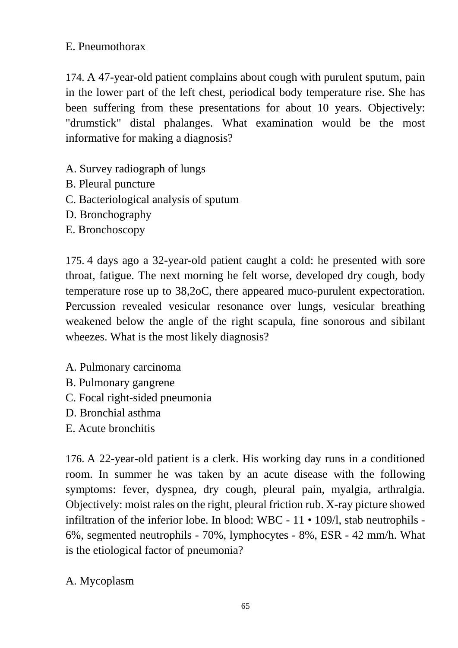## E. Pneumothorax

174. A 47-year-old patient complains about cough with purulent sputum, pain in the lower part of the left chest, periodical body temperature rise. She has been suffering from these presentations for about 10 years. Objectively: "drumstick" distal phalanges. What examination would be the most informative for making a diagnosis?

- A. Survey radiograph of lungs
- B. Pleural puncture
- C. Bacteriological analysis of sputum
- D. Bronchography
- E. Bronchoscopy

175. 4 days ago a 32-year-old patient caught a cold: he presented with sore throat, fatigue. The next morning he felt worse, developed dry cough, body temperature rose up to 38,2oC, there appeared muco-purulent expectoration. Percussion revealed vesicular resonance over lungs, vesicular breathing weakened below the angle of the right scapula, fine sonorous and sibilant wheezes. What is the most likely diagnosis?

- A. Pulmonary carcinoma
- B. Pulmonary gangrene
- C. Focal right-sided pneumonia
- D. Bronchial asthma
- E. Acute bronchitis

176. A 22-year-old patient is a clerk. His working day runs in a conditioned room. In summer he was taken by an acute disease with the following symptoms: fever, dyspnea, dry cough, pleural pain, myalgia, arthralgia. Objectively: moist rales on the right, pleural friction rub. X-ray picture showed infiltration of the inferior lobe. In blood: WBC - 11 • 109/l, stab neutrophils - 6%, segmented neutrophils - 70%, lymphocytes - 8%, ESR - 42 mm/h. What is the etiological factor of pneumonia?

# A. Mycoplasm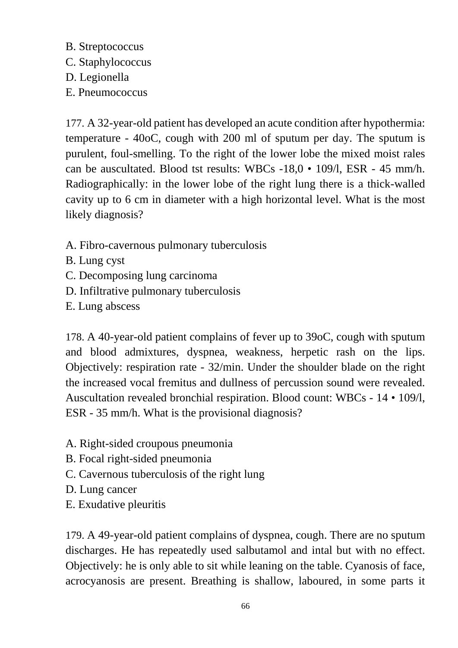## B. Streptococcus

- C. Staphylococcus
- D. Legionella
- E. Pneumococcus

177. A 32-year-old patient has developed an acute condition after hypothermia: temperature - 40oC, cough with 200 ml of sputum per day. The sputum is purulent, foul-smelling. To the right of the lower lobe the mixed moist rales can be auscultated. Blood tst results: WBCs -18,0 • 109/l, ESR - 45 mm/h. Radiographically: in the lower lobe of the right lung there is a thick-walled cavity up to 6 cm in diameter with a high horizontal level. What is the most likely diagnosis?

- A. Fibro-cavernous pulmonary tuberculosis
- B. Lung cyst
- C. Decomposing lung carcinoma
- D. Infiltrative pulmonary tuberculosis
- E. Lung abscess

178. A 40-year-old patient complains of fever up to 39oC, cough with sputum and blood admixtures, dyspnea, weakness, herpetic rash on the lips. Objectively: respiration rate - 32/min. Under the shoulder blade on the right the increased vocal fremitus and dullness of percussion sound were revealed. Auscultation revealed bronchial respiration. Blood count: WBCs - 14 • 109/l, ESR - 35 mm/h. What is the provisional diagnosis?

- A. Right-sided croupous pneumonia
- B. Focal right-sided pneumonia
- C. Cavernous tuberculosis of the right lung
- D. Lung cancer
- E. Exudative pleuritis

179. A 49-year-old patient complains of dyspnea, cough. There are no sputum discharges. He has repeatedly used salbutamol and intal but with no effect. Objectively: he is only able to sit while leaning on the table. Cyanosis of face, acrocyanosis are present. Breathing is shallow, laboured, in some parts it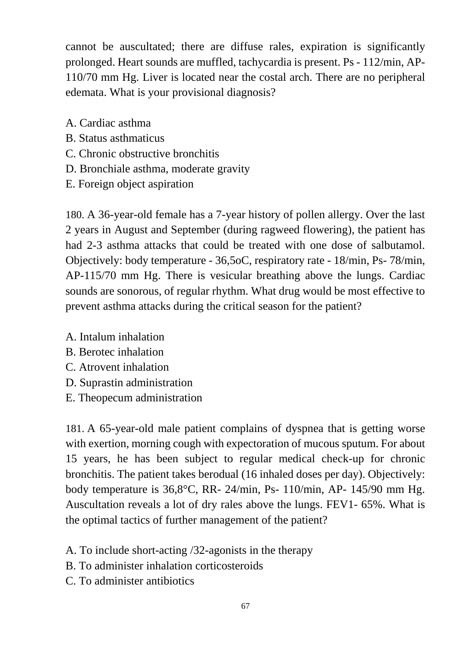cannot be auscultated; there are diffuse rales, expiration is significantly prolonged. Heart sounds are muffled, tachycardia is present. Ps - 112/min, AP-110/70 mm Hg. Liver is located near the costal arch. There are no peripheral edemata. What is your provisional diagnosis?

- A. Cardiac asthma
- B. Status asthmaticus
- C. Chronic obstructive bronchitis
- D. Bronchiale asthma, moderate gravity
- E. Foreign object aspiration

180. A 36-year-old female has a 7-year history of pollen allergy. Over the last 2 years in August and September (during ragweed flowering), the patient has had 2-3 asthma attacks that could be treated with one dose of salbutamol. Objectively: body temperature - 36,5oC, respiratory rate - 18/min, Ps- 78/min, AP-115/70 mm Hg. There is vesicular breathing above the lungs. Cardiac sounds are sonorous, of regular rhythm. What drug would be most effective to prevent asthma attacks during the critical season for the patient?

- A. Intalum inhalation
- B. Berotec inhalation
- C. Atrovent inhalation
- D. Suprastin administration
- E. Theopecum administration

181. A 65-year-old male patient complains of dyspnea that is getting worse with exertion, morning cough with expectoration of mucous sputum. For about 15 years, he has been subject to regular medical check-up for chronic bronchitis. The patient takes berodual (16 inhaled doses per day). Objectively: body temperature is 36,8°C, RR- 24/min, Ps- 110/min, AP- 145/90 mm Hg. Auscultation reveals a lot of dry rales above the lungs. FEV1- 65%. What is the optimal tactics of further management of the patient?

- A. To include short-acting /32-agonists in the therapy
- B. To administer inhalation corticosteroids
- C. To administer antibiotics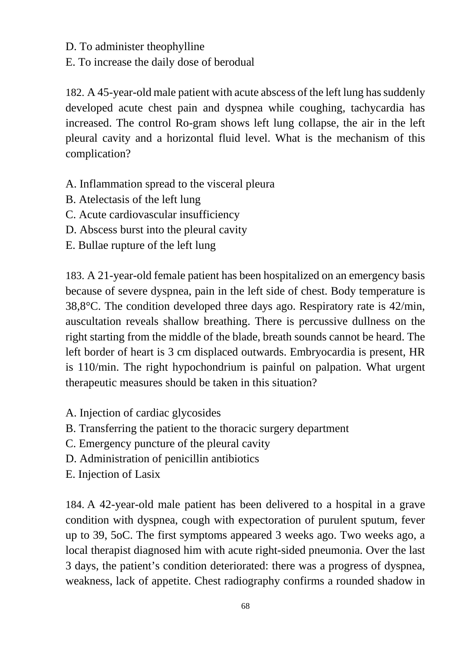D. To administer theophylline

E. To increase the daily dose of berodual

182. A 45-year-old male patient with acute abscess of the left lung has suddenly developed acute chest pain and dyspnea while coughing, tachycardia has increased. The control Ro-gram shows left lung collapse, the air in the left pleural cavity and a horizontal fluid level. What is the mechanism of this complication?

- A. Inflammation spread to the visceral pleura
- B. Atelectasis of the left lung
- C. Acute cardiovascular insufficiency
- D. Abscess burst into the pleural cavity
- E. Bullae rupture of the left lung

183. A 21-year-old female patient has been hospitalized on an emergency basis because of severe dyspnea, pain in the left side of chest. Body temperature is 38,8°C. The condition developed three days ago. Respiratory rate is 42/min, auscultation reveals shallow breathing. There is percussive dullness on the right starting from the middle of the blade, breath sounds cannot be heard. The left border of heart is 3 cm displaced outwards. Embryocardia is present, HR is 110/min. The right hypochondrium is painful on palpation. What urgent therapeutic measures should be taken in this situation?

- A. Injection of cardiac glycosides
- B. Transferring the patient to the thoracic surgery department
- C. Emergency puncture of the pleural cavity
- D. Administration of penicillin antibiotics
- E. Injection of Lasix

184. A 42-year-old male patient has been delivered to a hospital in a grave condition with dyspnea, cough with expectoration of purulent sputum, fever up to 39, 5oC. The first symptoms appeared 3 weeks ago. Two weeks ago, a local therapist diagnosed him with acute right-sided pneumonia. Over the last 3 days, the patient's condition deteriorated: there was a progress of dyspnea, weakness, lack of appetite. Chest radiography confirms a rounded shadow in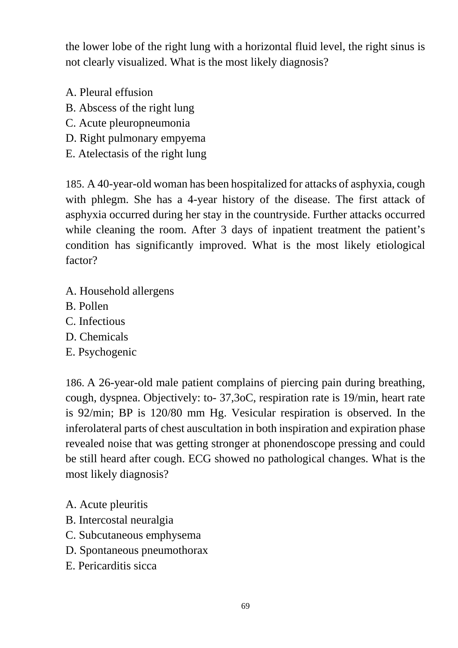the lower lobe of the right lung with a horizontal fluid level, the right sinus is not clearly visualized. What is the most likely diagnosis?

- A. Pleural effusion
- B. Abscess of the right lung
- C. Acute pleuropneumonia
- D. Right pulmonary empyema
- E. Atelectasis of the right lung

185. A 40-year-old woman has been hospitalized for attacks of asphyxia, cough with phlegm. She has a 4-year history of the disease. The first attack of asphyxia occurred during her stay in the countryside. Further attacks occurred while cleaning the room. After 3 days of inpatient treatment the patient's condition has significantly improved. What is the most likely etiological factor?

- A. Household allergens
- B. Pollen
- C. Infectious
- D. Chemicals
- E. Psychogenic

186. A 26-year-old male patient complains of piercing pain during breathing, cough, dyspnea. Objectively: to- 37,3oC, respiration rate is 19/min, heart rate is 92/min; BP is 120/80 mm Hg. Vesicular respiration is observed. In the inferolateral parts of chest auscultation in both inspiration and expiration phase revealed noise that was getting stronger at phonendoscope pressing and could be still heard after cough. ECG showed no pathological changes. What is the most likely diagnosis?

- A. Acute pleuritis
- B. Intercostal neuralgia
- C. Subcutaneous emphysema
- D. Spontaneous pneumothorax
- E. Pericarditis sicca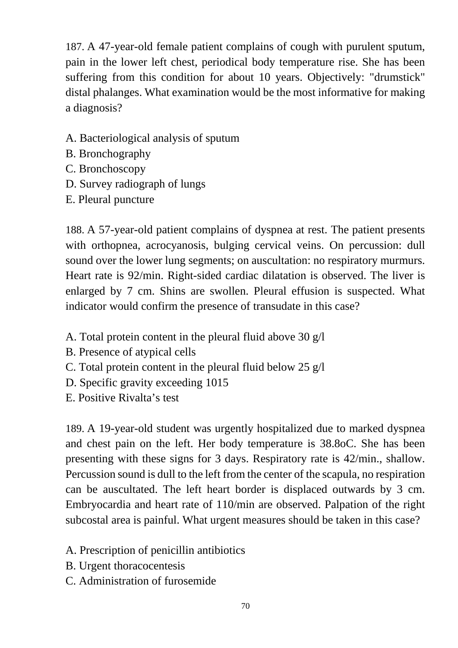187. A 47-year-old female patient complains of cough with purulent sputum, pain in the lower left chest, periodical body temperature rise. She has been suffering from this condition for about 10 years. Objectively: "drumstick" distal phalanges. What examination would be the most informative for making a diagnosis?

- A. Bacteriological analysis of sputum
- B. Bronchography
- C. Bronchoscopy
- D. Survey radiograph of lungs
- E. Pleural puncture

188. A 57-year-old patient complains of dyspnea at rest. The patient presents with orthopnea, acrocyanosis, bulging cervical veins. On percussion: dull sound over the lower lung segments; on auscultation: no respiratory murmurs. Heart rate is 92/min. Right-sided cardiac dilatation is observed. The liver is enlarged by 7 cm. Shins are swollen. Pleural effusion is suspected. What indicator would confirm the presence of transudate in this case?

- A. Total protein content in the pleural fluid above 30 g/l
- B. Presence of atypical cells
- C. Total protein content in the pleural fluid below 25 g/l
- D. Specific gravity exceeding 1015
- E. Positive Rivalta's test

189. A 19-year-old student was urgently hospitalized due to marked dyspnea and chest pain on the left. Her body temperature is 38.8oC. She has been presenting with these signs for 3 days. Respiratory rate is 42/min., shallow. Percussion sound is dull to the left from the center of the scapula, no respiration can be auscultated. The left heart border is displaced outwards by 3 cm. Embryocardia and heart rate of 110/min are observed. Palpation of the right subcostal area is painful. What urgent measures should be taken in this case?

- A. Prescription of penicillin antibiotics
- B. Urgent thoracocentesis
- C. Administration of furosemide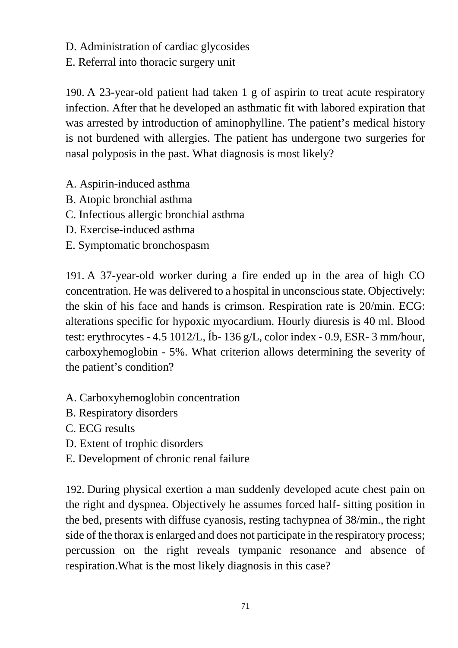D. Administration of cardiac glycosides

E. Referral into thoracic surgery unit

190. A 23-year-old patient had taken 1 g of aspirin to treat acute respiratory infection. After that he developed an asthmatic fit with labored expiration that was arrested by introduction of aminophylline. The patient's medical history is not burdened with allergies. The patient has undergone two surgeries for nasal polyposis in the past. What diagnosis is most likely?

- A. Aspirin-induced asthma
- B. Atopic bronchial asthma
- C. Infectious allergic bronchial asthma
- D. Exercise-induced asthma
- E. Symptomatic bronchospasm

191. A 37-year-old worker during a fire ended up in the area of high CO concentration. He was delivered to a hospital in unconscious state. Objectively: the skin of his face and hands is crimson. Respiration rate is 20/min. ECG: alterations specific for hypoxic myocardium. Hourly diuresis is 40 ml. Blood test: erythrocytes - 4.5 1012/L, Íb- 136 g/L, color index - 0.9, ESR- 3 mm/hour, carboxyhemoglobin - 5%. What criterion allows determining the severity of the patient's condition?

- A. Carboxyhemoglobin concentration
- B. Respiratory disorders
- C. ECG results
- D. Extent of trophic disorders
- E. Development of chronic renal failure

192. During physical exertion a man suddenly developed acute chest pain on the right and dyspnea. Objectively he assumes forced half- sitting position in the bed, presents with diffuse cyanosis, resting tachypnea of 38/min., the right side of the thorax is enlarged and does not participate in the respiratory process; percussion on the right reveals tympanic resonance and absence of respiration.What is the most likely diagnosis in this case?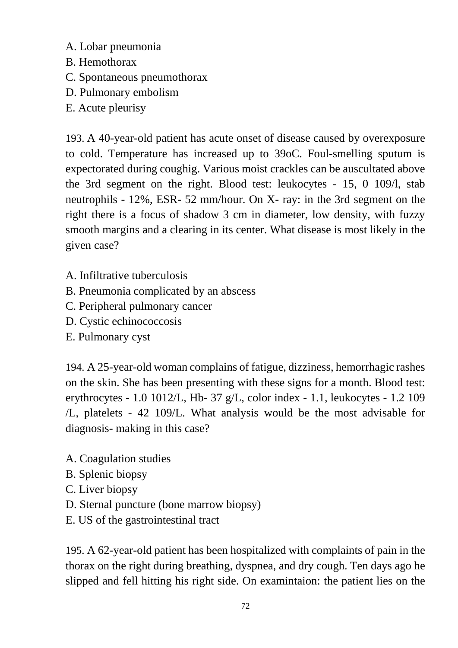- A. Lobar pneumonia
- B. Hemothorax
- C. Spontaneous pneumothorax
- D. Pulmonary embolism
- E. Acute pleurisy

193. A 40-year-old patient has acute onset of disease caused by overexposure to cold. Temperature has increased up to 39oC. Foul-smelling sputum is expectorated during coughig. Various moist crackles can be auscultated above the 3rd segment on the right. Blood test: leukocytes - 15, 0 109/l, stab neutrophils - 12%, ESR- 52 mm/hour. On X- ray: in the 3rd segment on the right there is a focus of shadow 3 cm in diameter, low density, with fuzzy smooth margins and a clearing in its center. What disease is most likely in the given case?

- A. Infiltrative tuberculosis
- B. Pneumonia complicated by an abscess
- C. Peripheral pulmonary cancer
- D. Cystic echinococcosis
- E. Pulmonary cyst

194. A 25-year-old woman complains of fatigue, dizziness, hemorrhagic rashes on the skin. She has been presenting with these signs for a month. Blood test: erythrocytes - 1.0 1012/L, Hb- 37 g/L, color index - 1.1, leukocytes - 1.2 109 /L, platelets - 42 109/L. What analysis would be the most advisable for diagnosis- making in this case?

- A. Coagulation studies
- B. Splenic biopsy
- C. Liver biopsy
- D. Sternal puncture (bone marrow biopsy)
- E. US of the gastrointestinal tract

195. A 62-year-old patient has been hospitalized with complaints of pain in the thorax on the right during breathing, dyspnea, and dry cough. Ten days ago he slipped and fell hitting his right side. On examintaion: the patient lies on the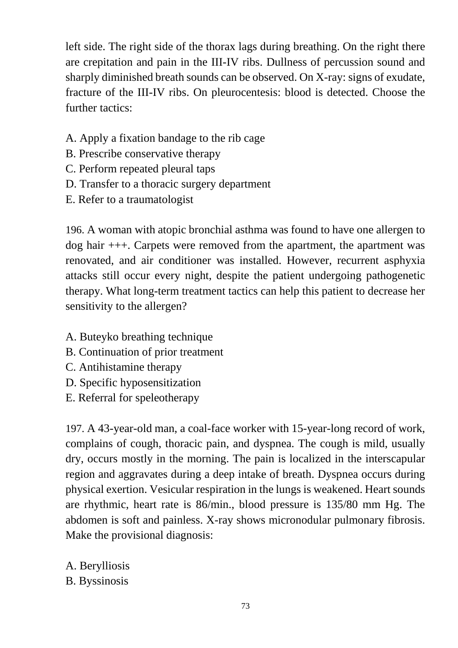left side. The right side of the thorax lags during breathing. On the right there are crepitation and pain in the III-IV ribs. Dullness of percussion sound and sharply diminished breath sounds can be observed. On X-ray: signs of exudate, fracture of the III-IV ribs. On pleurocentesis: blood is detected. Choose the further tactics:

- A. Apply a fixation bandage to the rib cage
- B. Prescribe conservative therapy
- C. Perform repeated pleural taps
- D. Transfer to a thoracic surgery department
- E. Refer to a traumatologist

196. A woman with atopic bronchial asthma was found to have one allergen to dog hair +++. Carpets were removed from the apartment, the apartment was renovated, and air conditioner was installed. However, recurrent asphyxia attacks still occur every night, despite the patient undergoing pathogenetic therapy. What long-term treatment tactics can help this patient to decrease her sensitivity to the allergen?

- A. Buteyko breathing technique
- B. Continuation of prior treatment
- C. Antihistamine therapy
- D. Specific hyposensitization
- E. Referral for speleotherapy

197. A 43-year-old man, a coal-face worker with 15-year-long record of work, complains of cough, thoracic pain, and dyspnea. The cough is mild, usually dry, occurs mostly in the morning. The pain is localized in the interscapular region and aggravates during a deep intake of breath. Dyspnea occurs during physical exertion. Vesicular respiration in the lungs is weakened. Heart sounds are rhythmic, heart rate is 86/min., blood pressure is 135/80 mm Hg. The abdomen is soft and painless. X-ray shows micronodular pulmonary fibrosis. Make the provisional diagnosis:

A. Berylliosis

B. Byssinosis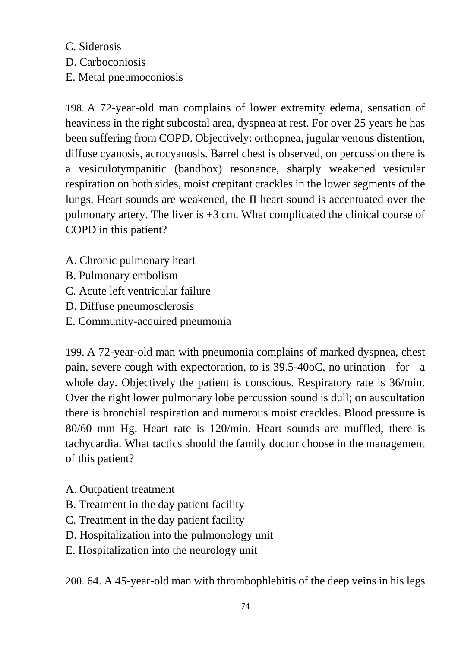C. Siderosis D. Carboconiosis E. Metal pneumoconiosis

198. A 72-year-old man complains of lower extremity edema, sensation of heaviness in the right subcostal area, dyspnea at rest. For over 25 years he has been suffering from COPD. Objectively: orthopnea, jugular venous distention, diffuse cyanosis, acrocyanosis. Barrel chest is observed, on percussion there is a vesiculotympanitic (bandbox) resonance, sharply weakened vesicular respiration on both sides, moist crepitant crackles in the lower segments of the lungs. Heart sounds are weakened, the II heart sound is accentuated over the pulmonary artery. The liver is +3 cm. What complicated the clinical course of COPD in this patient?

- A. Chronic pulmonary heart
- B. Pulmonary embolism
- C. Acute left ventricular failure
- D. Diffuse pneumosclerosis
- E. Community-acquired pneumonia

199. A 72-year-old man with pneumonia complains of marked dyspnea, chest pain, severe cough with expectoration, to is 39.5-40oC, no urination for a whole day. Objectively the patient is conscious. Respiratory rate is 36/min. Over the right lower pulmonary lobe percussion sound is dull; on auscultation there is bronchial respiration and numerous moist crackles. Blood pressure is 80/60 mm Hg. Heart rate is 120/min. Heart sounds are muffled, there is tachycardia. What tactics should the family doctor choose in the management of this patient?

- A. Outpatient treatment
- B. Treatment in the day patient facility
- C. Treatment in the day patient facility
- D. Hospitalization into the pulmonology unit
- E. Hospitalization into the neurology unit

200. 64. A 45-year-old man with thrombophlebitis of the deep veins in his legs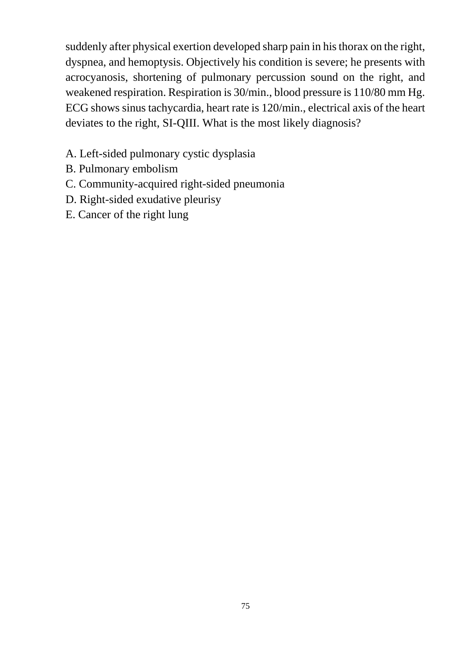suddenly after physical exertion developed sharp pain in his thorax on the right, dyspnea, and hemoptysis. Objectively his condition is severe; he presents with acrocyanosis, shortening of pulmonary percussion sound on the right, and weakened respiration. Respiration is 30/min., blood pressure is 110/80 mm Hg. ECG shows sinus tachycardia, heart rate is 120/min., electrical axis of the heart deviates to the right, SI-QIII. What is the most likely diagnosis?

- A. Left-sided pulmonary cystic dysplasia
- B. Pulmonary embolism
- C. Community-acquired right-sided pneumonia
- D. Right-sided exudative pleurisy
- E. Cancer of the right lung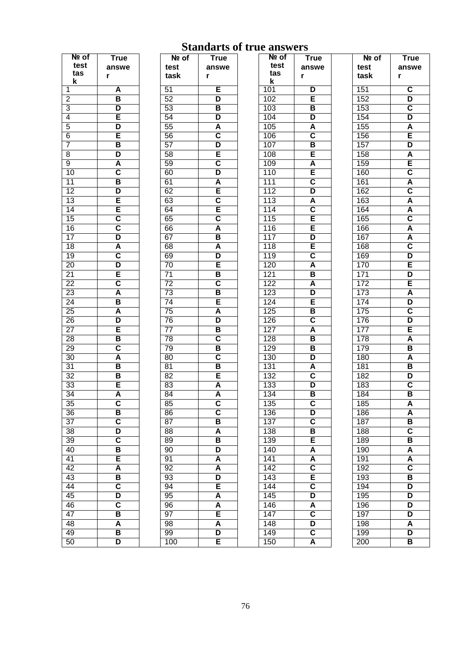| Nº of           | <b>True</b>             | Nº of            |
|-----------------|-------------------------|------------------|
| test            |                         |                  |
| tas             | answe                   | test             |
| k               | r                       | task             |
| 1               | A                       | $\overline{51}$  |
| $\overline{2}$  | В                       | $\overline{52}$  |
|                 | D                       |                  |
| 3               |                         | $\overline{53}$  |
| 4               | Ē                       | $\overline{54}$  |
| $\overline{5}$  | D                       | $\overline{55}$  |
| 6               | Ē                       | $\overline{56}$  |
| 7               | B                       | $\overline{57}$  |
| 8               | D                       | 58               |
| 9               | Ā                       | $\overline{59}$  |
| 10              | $\overline{\mathbf{c}}$ | 60               |
| $\overline{11}$ | B                       | 61               |
| $\overline{12}$ | D                       | 62               |
| $\overline{13}$ | Ē                       | 63               |
| $\overline{14}$ | E                       | 64               |
| 15              | $\overline{\textbf{c}}$ | 65               |
| $\overline{16}$ | $\overline{\mathbf{c}}$ | 66               |
| $\overline{17}$ | D                       | 67               |
|                 |                         |                  |
| $\overline{18}$ | Ā                       | 68               |
| 19              | $\overline{\textbf{c}}$ | 69               |
| $\overline{20}$ | D                       | $\overline{70}$  |
| $\overline{21}$ | Ē                       | $\overline{71}$  |
| $\overline{22}$ | $\overline{\textbf{c}}$ | $\overline{72}$  |
| $\overline{23}$ | Ā                       | $\overline{73}$  |
| $\overline{24}$ | В                       | $\overline{74}$  |
| $\overline{25}$ | Ā                       | $\overline{75}$  |
| $\overline{26}$ | D                       | $\overline{76}$  |
| 27              | Ē                       | 77               |
| 28              | B                       | $\overline{78}$  |
| $\overline{29}$ | $\overline{\mathbf{c}}$ | $\overline{79}$  |
| 30              | Ā                       | 80               |
| $\overline{31}$ | В                       | 81               |
| $\overline{32}$ | B                       | $\overline{82}$  |
|                 |                         |                  |
| $\overline{33}$ | Ē                       | $\overline{83}$  |
| $\overline{34}$ | A                       | $\overline{84}$  |
| 35              | C                       | 85               |
| 36              | В                       | 86               |
| 37              | $\overline{\mathsf{c}}$ | $\overline{8}$ 7 |
| 38              | D                       | 88               |
| 39              | $\overline{\mathbf{c}}$ | 89               |
| 40              | В                       | 90               |
| $\overline{41}$ | E                       | 91               |
| $\overline{42}$ | Ā                       | 92               |
| 43              | В                       | 93               |
| 44              | $\overline{\mathsf{c}}$ | 94               |
| 45              | D                       | 95               |
| 46              | $\overline{\mathbf{c}}$ | 96               |
| $\overline{47}$ |                         |                  |
|                 | B                       | 97               |
| 48              | Ā                       | 98               |
| 49              | В                       | 99               |
| 50              | D                       | 100              |

## **Standarts of true answers**  $\overline{of}$ **True**

answe

 $\overline{\mathsf{D}}$  $\overline{E}$  $\overline{\mathsf{B}}$ D  $\overline{\mathbf{A}}$  $\overline{\mathbf{c}}$ B E  $\overline{\mathsf{A}}$ E  $\overline{\mathbf{c}}$  $\overline{\mathsf{D}}$  $rac{A}{C}$ E  $\overline{E}$  $\overline{\mathsf{D}}$ Έ  $\overline{\mathbf{c}}$  $\overline{\mathsf{A}}$  $\overline{\mathsf{B}}$  $\overline{\mathsf{A}}$  $\overline{\mathsf{D}}$ Έ  $\overline{\mathsf{B}}$  $\overline{\mathbf{c}}$  $\overline{\mathsf{A}}$  $\overline{\mathsf{B}}$  $\overline{\mathbf{B}}$  $\overline{\mathsf{D}}$  $\overline{\mathsf{A}}$  $\overline{\mathbf{c}}$ D  $\overline{\mathsf{B}}$  $\overline{\mathbf{c}}$  $\overline{\mathsf{D}}$  $\overline{\mathbf{c}}$  $\overline{B}$ Έ A  $\overline{\mathsf{A}}$  $\overline{\mathbf{c}}$  $\overline{E}$  $\overline{\mathbf{c}}$  $\overline{\mathsf{D}}$  $rac{A}{C}$  $\overline{\mathsf{D}}$  $\overline{\mathbf{c}}$ 

 $\mathbf{r}$ 

| ັ     | υ<br>u<br>ч<br>טש בו<br>u | טווו     |
|-------|---------------------------|----------|
| lº of | <b>True</b>               | Nº of    |
| st    | answe                     | test     |
| sk    | r                         | tas      |
|       | Ē                         | k<br>101 |
|       |                           |          |
|       | D                         | 102      |
|       | В                         | 103      |
|       | D                         | 104      |
|       | Ā                         | 105      |
|       | $\overline{\textbf{c}}$   | 106      |
|       | D                         | 107      |
|       | Ē                         | 108      |
|       | $\overline{\textbf{c}}$   | 109      |
|       | D                         | 110      |
|       | Ā                         | 111      |
|       | Ē                         | 112      |
|       | $\overline{\mathsf{c}}$   | 113      |
|       | Ē                         | 114      |
|       | $\overline{\mathsf{c}}$   | 115      |
|       | Ā                         | 116      |
|       | В                         | 117      |
|       | Ā                         | 118      |
|       | D                         | 119      |
|       | Ē                         |          |
|       |                           | 120      |
|       | B                         | 121      |
|       | $\overline{\mathsf{c}}$   | 122      |
|       | B                         | 123      |
|       | Ē                         | 124      |
|       | Ā                         | 125      |
|       | D                         | 126      |
|       | B                         | 127      |
|       | $\overline{\mathsf{c}}$   | 128      |
|       | $\overline{\mathsf{B}}$   | 129      |
|       | $\overline{\mathsf{c}}$   | 130      |
|       | В                         | 131      |
|       | Ē                         | 132      |
|       | Ā                         | 133      |
|       | Δ                         | 134      |
|       | $\overline{\textbf{c}}$   | 135      |
|       | $\overline{\mathbf{c}}$   | 136      |
|       | В                         | 137      |
|       | Ā                         | 138      |
|       | В                         | 139      |
|       | D                         | 140      |
|       | Ā                         | 141      |
|       | Ā                         | 142      |
|       | D                         | 143      |
|       | E                         | 144      |
|       | Ā                         | 145      |
|       | Ā                         | 146      |
|       | E                         | 147      |
|       | Ā                         | 148      |
|       | D                         | 149      |
| C     | Ē                         | 150      |
|       |                           |          |

| Nº of            | <b>True</b>                  |
|------------------|------------------------------|
| test             | answe                        |
| task             | r                            |
| 151              | $\overline{\textbf{c}}$      |
| 152              | D                            |
| 153              | $\overline{\mathsf{c}}$      |
| 154              | D                            |
| 155              | Ā                            |
| 156              | E                            |
| 157              | D                            |
| 158              | Ā                            |
| 159              | Ē                            |
| 160              | $\overline{\mathsf{c}}$      |
| 161              | Ā                            |
| 162              | $\overline{\mathbf{c}}$      |
| 163              | Ā                            |
| 164              | $\overline{\mathsf{A}}$      |
| 165              | $\overline{\mathsf{c}}$      |
| 166              | Ā                            |
|                  | Ā                            |
| 167<br>168       |                              |
| 169              | $\overline{\mathsf{C}}$<br>D |
| 170              | Ē                            |
|                  | D                            |
| 171              |                              |
| 172              | Ē                            |
| 173              | Ā<br>D                       |
| 174              |                              |
| 175              | $\overline{\mathsf{C}}$      |
| 176              | D<br>Ē                       |
| 177              | Ā                            |
| 178              | В                            |
| 179<br>180       | Ā                            |
| 181              | В                            |
| 182              | D                            |
| 183              |                              |
| 184              | $\overline{\mathsf{C}}$      |
|                  | В                            |
| 185              | A                            |
| 186              | Ā                            |
| 187              | В                            |
| 188              | $\overline{\textbf{c}}$      |
| 189              | В                            |
| 190              | Ā                            |
| 191              | Ā                            |
| 192              | $\overline{\mathbf{c}}$      |
| 193              | В                            |
| 194              | D                            |
| 195              | D                            |
| 196              | D                            |
| 197              | D                            |
| 198              | Ā                            |
| 199              | D                            |
| $\overline{200}$ | В                            |

A